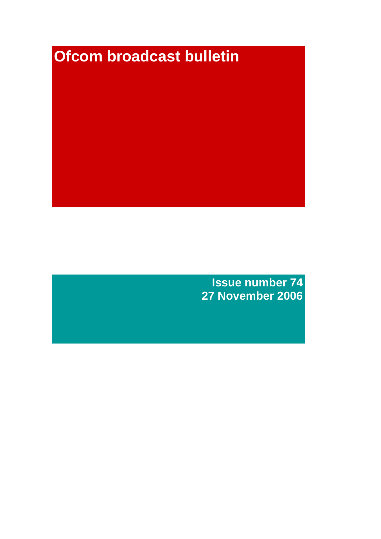# **Ofcom broadcast bulletin**

**Issue number 74 27 November 2006**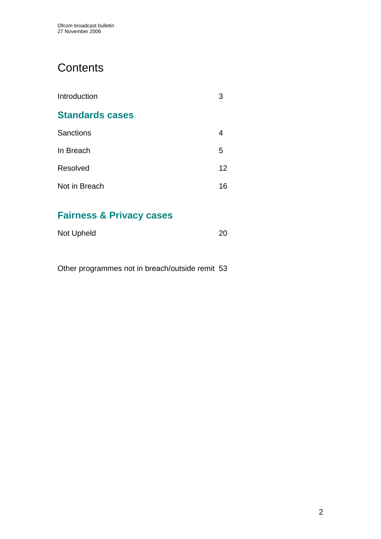# **Contents**

| Introduction           | З               |
|------------------------|-----------------|
| <b>Standards cases</b> |                 |
| <b>Sanctions</b>       |                 |
| In Breach              | 5               |
| Resolved               | 12 <sup>2</sup> |
| Not in Breach          | 16              |

# **Fairness & Privacy cases**

| Not Upheld | 20 |
|------------|----|
|            |    |

Other programmes not in breach/outside remit 53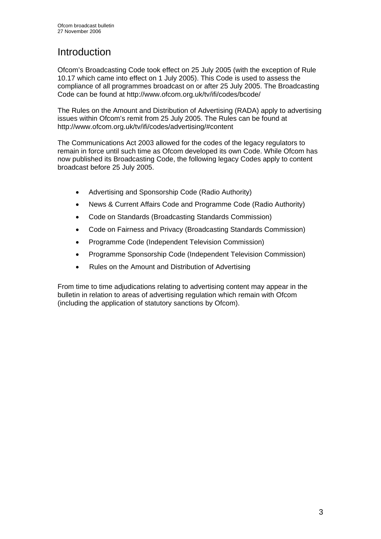# **Introduction**

Ofcom's Broadcasting Code took effect on 25 July 2005 (with the exception of Rule 10.17 which came into effect on 1 July 2005). This Code is used to assess the compliance of all programmes broadcast on or after 25 July 2005. The Broadcasting Code can be found at http://www.ofcom.org.uk/tv/ifi/codes/bcode/

The Rules on the Amount and Distribution of Advertising (RADA) apply to advertising issues within Ofcom's remit from 25 July 2005. The Rules can be found at http://www.ofcom.org.uk/tv/ifi/codes/advertising/#content

The Communications Act 2003 allowed for the codes of the legacy regulators to remain in force until such time as Ofcom developed its own Code. While Ofcom has now published its Broadcasting Code, the following legacy Codes apply to content broadcast before 25 July 2005.

- Advertising and Sponsorship Code (Radio Authority)
- News & Current Affairs Code and Programme Code (Radio Authority)
- Code on Standards (Broadcasting Standards Commission)
- Code on Fairness and Privacy (Broadcasting Standards Commission)
- Programme Code (Independent Television Commission)
- Programme Sponsorship Code (Independent Television Commission)
- Rules on the Amount and Distribution of Advertising

From time to time adjudications relating to advertising content may appear in the bulletin in relation to areas of advertising regulation which remain with Ofcom (including the application of statutory sanctions by Ofcom).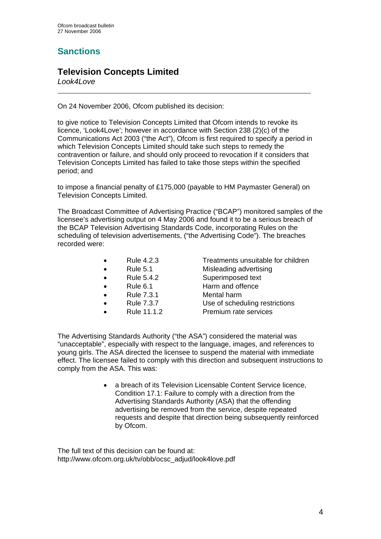## **Sanctions**

## **Television Concepts Limited**

*Look4Love* 

 $\overline{a}$ 

On 24 November 2006, Ofcom published its decision:

to give notice to Television Concepts Limited that Ofcom intends to revoke its licence, 'Look4Love'; however in accordance with Section 238 (2)(c) of the Communications Act 2003 ("the Act"), Ofcom is first required to specify a period in which Television Concepts Limited should take such steps to remedy the contravention or failure, and should only proceed to revocation if it considers that Television Concepts Limited has failed to take those steps within the specified period; and

to impose a financial penalty of £175,000 (payable to HM Paymaster General) on Television Concepts Limited.

The Broadcast Committee of Advertising Practice ("BCAP") monitored samples of the licensee's advertising output on 4 May 2006 and found it to be a serious breach of the BCAP Television Advertising Standards Code, incorporating Rules on the scheduling of television advertisements, ("the Advertising Code"). The breaches recorded were:

- 
- 
- 
- 
- Rule 7.3.1 Mental harm
- 
- 

• Rule 4.2.3 Treatments unsuitable for children

- Rule 5.1 Misleading advertising
- Rule 5.4.2 Superimposed text
- Rule 6.1 Harm and offence
	-
	- Rule 7.3.7 Use of scheduling restrictions
	- Rule 11.1.2 Premium rate services

The Advertising Standards Authority ("the ASA") considered the material was "unacceptable", especially with respect to the language, images, and references to young girls. The ASA directed the licensee to suspend the material with immediate effect. The licensee failed to comply with this direction and subsequent instructions to comply from the ASA. This was:

> • a breach of its Television Licensable Content Service licence, Condition 17.1: Failure to comply with a direction from the Advertising Standards Authority (ASA) that the offending advertising be removed from the service, despite repeated requests and despite that direction being subsequently reinforced by Ofcom.

The full text of this decision can be found at: http://www.ofcom.org.uk/tv/obb/ocsc\_adjud/look4love.pdf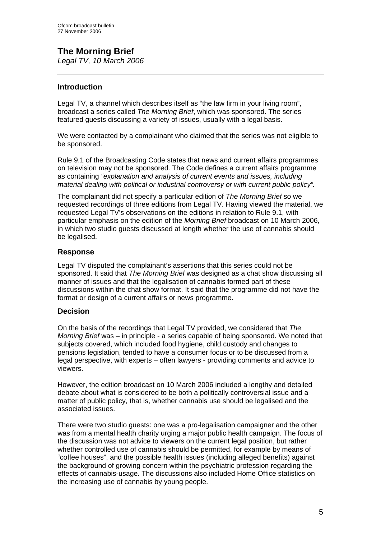# **The Morning Brief**

*Legal TV, 10 March 2006* 

## **Introduction**

Legal TV, a channel which describes itself as "the law firm in your living room", broadcast a series called *The Morning Brief*, which was sponsored. The series featured guests discussing a variety of issues, usually with a legal basis.

We were contacted by a complainant who claimed that the series was not eligible to be sponsored.

Rule 9.1 of the Broadcasting Code states that news and current affairs programmes on television may not be sponsored. The Code defines a current affairs programme as containing *"explanation and analysis of current events and issues, including material dealing with political or industrial controversy or with current public policy".* 

The complainant did not specify a particular edition of *The Morning Brief* so we requested recordings of three editions from Legal TV. Having viewed the material, we requested Legal TV's observations on the editions in relation to Rule 9.1, with particular emphasis on the edition of the *Morning Brief* broadcast on 10 March 2006, in which two studio guests discussed at length whether the use of cannabis should be legalised.

## **Response**

Legal TV disputed the complainant's assertions that this series could not be sponsored. It said that *The Morning Brief* was designed as a chat show discussing all manner of issues and that the legalisation of cannabis formed part of these discussions within the chat show format. It said that the programme did not have the format or design of a current affairs or news programme.

## **Decision**

On the basis of the recordings that Legal TV provided, we considered that *The Morning Brief* was – in principle - a series capable of being sponsored. We noted that subjects covered, which included food hygiene, child custody and changes to pensions legislation, tended to have a consumer focus or to be discussed from a legal perspective, with experts – often lawyers - providing comments and advice to viewers.

However, the edition broadcast on 10 March 2006 included a lengthy and detailed debate about what is considered to be both a politically controversial issue and a matter of public policy, that is, whether cannabis use should be legalised and the associated issues.

There were two studio guests: one was a pro-legalisation campaigner and the other was from a mental health charity urging a major public health campaign. The focus of the discussion was not advice to viewers on the current legal position, but rather whether controlled use of cannabis should be permitted, for example by means of "coffee houses", and the possible health issues (including alleged benefits) against the background of growing concern within the psychiatric profession regarding the effects of cannabis-usage. The discussions also included Home Office statistics on the increasing use of cannabis by young people.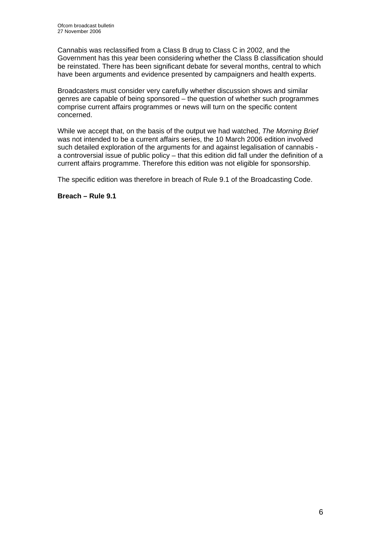Cannabis was reclassified from a Class B drug to Class C in 2002, and the Government has this year been considering whether the Class B classification should be reinstated. There has been significant debate for several months, central to which have been arguments and evidence presented by campaigners and health experts.

Broadcasters must consider very carefully whether discussion shows and similar genres are capable of being sponsored – the question of whether such programmes comprise current affairs programmes or news will turn on the specific content concerned.

While we accept that, on the basis of the output we had watched, *The Morning Brief* was not intended to be a current affairs series, the 10 March 2006 edition involved such detailed exploration of the arguments for and against legalisation of cannabis a controversial issue of public policy – that this edition did fall under the definition of a current affairs programme. Therefore this edition was not eligible for sponsorship.

The specific edition was therefore in breach of Rule 9.1 of the Broadcasting Code.

**Breach – Rule 9.1**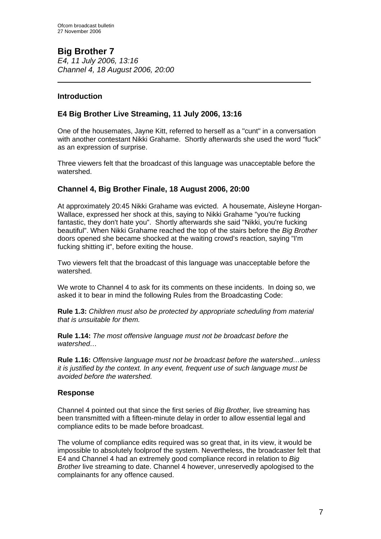**Big Brother 7**  *E4, 11 July 2006, 13:16 Channel 4, 18 August 2006, 20:00* 

## **Introduction**

 $\overline{a}$ 

## **E4 Big Brother Live Streaming, 11 July 2006, 13:16**

One of the housemates, Jayne Kitt, referred to herself as a "cunt" in a conversation with another contestant Nikki Grahame. Shortly afterwards she used the word "fuck" as an expression of surprise.

Three viewers felt that the broadcast of this language was unacceptable before the watershed.

## **Channel 4, Big Brother Finale, 18 August 2006, 20:00**

At approximately 20:45 Nikki Grahame was evicted. A housemate, Aisleyne Horgan-Wallace, expressed her shock at this, saying to Nikki Grahame "you're fucking fantastic, they don't hate you". Shortly afterwards she said "Nikki, you're fucking beautiful". When Nikki Grahame reached the top of the stairs before the *Big Brother* doors opened she became shocked at the waiting crowd's reaction, saying "I'm fucking shitting it", before exiting the house.

Two viewers felt that the broadcast of this language was unacceptable before the watershed.

We wrote to Channel 4 to ask for its comments on these incidents. In doing so, we asked it to bear in mind the following Rules from the Broadcasting Code:

**Rule 1.3:** *Children must also be protected by appropriate scheduling from material that is unsuitable for them.*

**Rule 1.14:** *The most offensive language must not be broadcast before the watershed…* 

**Rule 1.16:** *Offensive language must not be broadcast before the watershed…unless it is justified by the context. In any event, frequent use of such language must be avoided before the watershed.*

## **Response**

Channel 4 pointed out that since the first series of *Big Brother,* live streaming has been transmitted with a fifteen-minute delay in order to allow essential legal and compliance edits to be made before broadcast.

The volume of compliance edits required was so great that, in its view, it would be impossible to absolutely foolproof the system. Nevertheless, the broadcaster felt that E4 and Channel 4 had an extremely good compliance record in relation to *Big Brother* live streaming to date. Channel 4 however, unreservedly apologised to the complainants for any offence caused.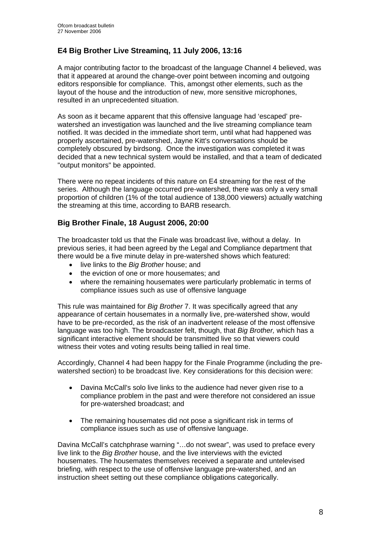## **E4 Big Brother Live Streaminq, 11 July 2006, 13:16**

A major contributing factor to the broadcast of the language Channel 4 believed, was that it appeared at around the change-over point between incoming and outgoing editors responsible for compliance. This, amongst other elements, such as the layout of the house and the introduction of new, more sensitive microphones, resulted in an unprecedented situation.

As soon as it became apparent that this offensive language had 'escaped' prewatershed an investigation was launched and the live streaming compliance team notified. It was decided in the immediate short term, until what had happened was properly ascertained, pre-watershed, Jayne Kitt's conversations should be completely obscured by birdsong. Once the investigation was completed it was decided that a new technical system would be installed, and that a team of dedicated "output monitors" be appointed.

There were no repeat incidents of this nature on E4 streaming for the rest of the series. Although the language occurred pre-watershed, there was only a very small proportion of children (1% of the total audience of 138,000 viewers) actually watching the streaming at this time, according to BARB research.

## **Big Brother Finale, 18 August 2006, 20:00**

The broadcaster told us that the Finale was broadcast live, without a delay. In previous series, it had been agreed by the Legal and Compliance department that there would be a five minute delay in pre-watershed shows which featured:

- live links to the *Big Brother* house; and
- the eviction of one or more housemates: and
- where the remaining housemates were particularly problematic in terms of compliance issues such as use of offensive language

This rule was maintained for *Big Brother* 7. It was specifically agreed that any appearance of certain housemates in a normally live, pre-watershed show, would have to be pre-recorded, as the risk of an inadvertent release of the most offensive language was too high. The broadcaster felt, though, that *Big Brother,* which has a significant interactive element should be transmitted live so that viewers could witness their votes and voting results being tallied in real time.

Accordingly, Channel 4 had been happy for the Finale Programme (including the prewatershed section) to be broadcast live. Key considerations for this decision were:

- Davina McCall's solo live links to the audience had never given rise to a compliance problem in the past and were therefore not considered an issue for pre-watershed broadcast; and
- The remaining housemates did not pose a significant risk in terms of compliance issues such as use of offensive language.

Davina McCall's catchphrase warning "…do not swear", was used to preface every live link to the *Big Brother* house, and the live interviews with the evicted housemates. The housemates themselves received a separate and untelevised briefing, with respect to the use of offensive language pre-watershed, and an instruction sheet setting out these compliance obligations categorically.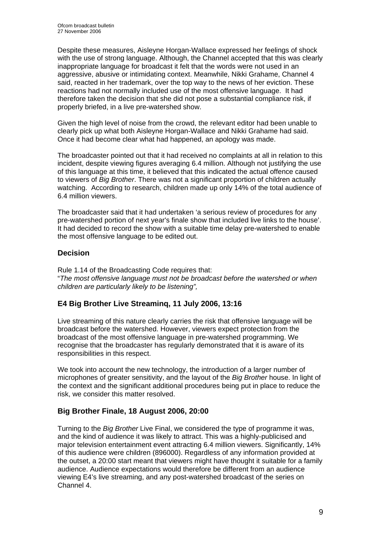Despite these measures, Aisleyne Horgan-Wallace expressed her feelings of shock with the use of strong language. Although, the Channel accepted that this was clearly inappropriate language for broadcast it felt that the words were not used in an aggressive, abusive or intimidating context. Meanwhile, Nikki Grahame, Channel 4 said, reacted in her trademark, over the top way to the news of her eviction. These reactions had not normally included use of the most offensive language. It had therefore taken the decision that she did not pose a substantial compliance risk, if properly briefed, in a live pre-watershed show.

Given the high level of noise from the crowd, the relevant editor had been unable to clearly pick up what both Aisleyne Horgan-Wallace and Nikki Grahame had said. Once it had become clear what had happened, an apology was made.

The broadcaster pointed out that it had received no complaints at all in relation to this incident, despite viewing figures averaging 6.4 million. Although not justifying the use of this language at this time, it believed that this indicated the actual offence caused to viewers of *Big Brother*. There was not a significant proportion of children actually watching. According to research, children made up only 14% of the total audience of 6.4 million viewers.

The broadcaster said that it had undertaken 'a serious review of procedures for any pre-watershed portion of next year's finale show that included live links to the house'. It had decided to record the show with a suitable time delay pre-watershed to enable the most offensive language to be edited out.

## **Decision**

Rule 1.14 of the Broadcasting Code requires that: "*The most offensive language must not be broadcast before the watershed or when children are particularly likely to be listening",* 

## **E4 Big Brother Live Streaminq, 11 July 2006, 13:16**

Live streaming of this nature clearly carries the risk that offensive language will be broadcast before the watershed. However, viewers expect protection from the broadcast of the most offensive language in pre-watershed programming. We recognise that the broadcaster has regularly demonstrated that it is aware of its responsibilities in this respect.

We took into account the new technology, the introduction of a larger number of microphones of greater sensitivity, and the layout of the *Big Brother* house. In light of the context and the significant additional procedures being put in place to reduce the risk, we consider this matter resolved.

## **Big Brother Finale, 18 August 2006, 20:00**

Turning to the *Big Brother* Live Final, we considered the type of programme it was, and the kind of audience it was likely to attract. This was a highly-publicised and major television entertainment event attracting 6.4 million viewers. Significantly, 14% of this audience were children (896000). Regardless of any information provided at the outset, a 20:00 start meant that viewers might have thought it suitable for a family audience. Audience expectations would therefore be different from an audience viewing E4's live streaming, and any post-watershed broadcast of the series on Channel 4.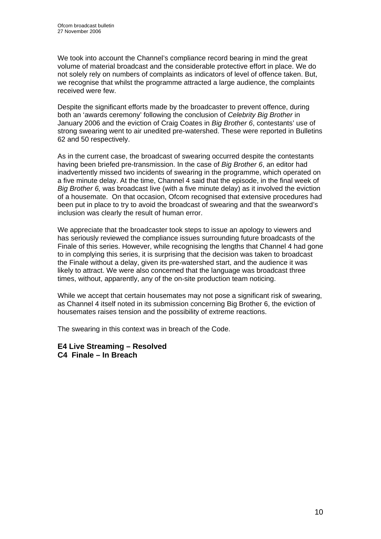We took into account the Channel's compliance record bearing in mind the great volume of material broadcast and the considerable protective effort in place. We do not solely rely on numbers of complaints as indicators of level of offence taken. But, we recognise that whilst the programme attracted a large audience, the complaints received were few.

Despite the significant efforts made by the broadcaster to prevent offence, during both an 'awards ceremony' following the conclusion of *Celebrity Big Brother* in January 2006 and the eviction of Craig Coates in *Big Brother 6*, contestants' use of strong swearing went to air unedited pre-watershed. These were reported in Bulletins 62 and 50 respectively.

As in the current case, the broadcast of swearing occurred despite the contestants having been briefed pre-transmission. In the case of *Big Brother 6*, an editor had inadvertently missed two incidents of swearing in the programme, which operated on a five minute delay. At the time, Channel 4 said that the episode, in the final week of *Big Brother 6,* was broadcast live (with a five minute delay) as it involved the eviction of a housemate. On that occasion, Ofcom recognised that extensive procedures had been put in place to try to avoid the broadcast of swearing and that the swearword's inclusion was clearly the result of human error.

We appreciate that the broadcaster took steps to issue an apology to viewers and has seriously reviewed the compliance issues surrounding future broadcasts of the Finale of this series. However, while recognising the lengths that Channel 4 had gone to in complying this series, it is surprising that the decision was taken to broadcast the Finale without a delay, given its pre-watershed start, and the audience it was likely to attract. We were also concerned that the language was broadcast three times, without, apparently, any of the on-site production team noticing.

While we accept that certain housemates may not pose a significant risk of swearing, as Channel 4 itself noted in its submission concerning Big Brother 6, the eviction of housemates raises tension and the possibility of extreme reactions.

The swearing in this context was in breach of the Code.

**E4 Live Streaming – Resolved C4 Finale – In Breach**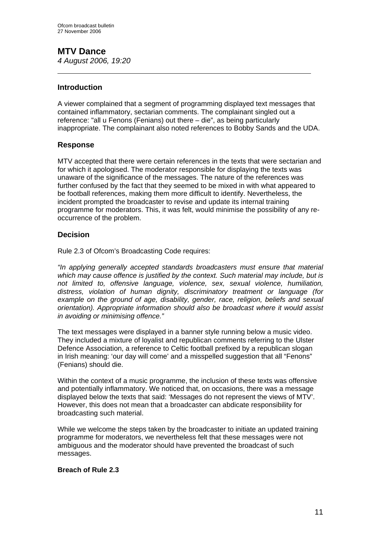# **MTV Dance**

*4 August 2006, 19:20*   $\overline{a}$ 

## **Introduction**

A viewer complained that a segment of programming displayed text messages that contained inflammatory, sectarian comments. The complainant singled out a reference: "all u Fenons (Fenians) out there – die", as being particularly inappropriate. The complainant also noted references to Bobby Sands and the UDA.

## **Response**

MTV accepted that there were certain references in the texts that were sectarian and for which it apologised. The moderator responsible for displaying the texts was unaware of the significance of the messages. The nature of the references was further confused by the fact that they seemed to be mixed in with what appeared to be football references, making them more difficult to identify. Nevertheless, the incident prompted the broadcaster to revise and update its internal training programme for moderators. This, it was felt, would minimise the possibility of any reoccurrence of the problem.

## **Decision**

Rule 2.3 of Ofcom's Broadcasting Code requires:

*"In applying generally accepted standards broadcasters must ensure that material which may cause offence is justified by the context. Such material may include, but is not limited to, offensive language, violence, sex, sexual violence, humiliation, distress, violation of human dignity, discriminatory treatment or language (for example on the ground of age, disability, gender, race, religion, beliefs and sexual orientation). Appropriate information should also be broadcast where it would assist in avoiding or minimising offence."* 

The text messages were displayed in a banner style running below a music video. They included a mixture of loyalist and republican comments referring to the Ulster Defence Association, a reference to Celtic football prefixed by a republican slogan in Irish meaning: 'our day will come' and a misspelled suggestion that all "Fenons" (Fenians) should die.

Within the context of a music programme, the inclusion of these texts was offensive and potentially inflammatory. We noticed that, on occasions, there was a message displayed below the texts that said: 'Messages do not represent the views of MTV'. However, this does not mean that a broadcaster can abdicate responsibility for broadcasting such material.

While we welcome the steps taken by the broadcaster to initiate an updated training programme for moderators, we nevertheless felt that these messages were not ambiguous and the moderator should have prevented the broadcast of such messages.

## **Breach of Rule 2.3**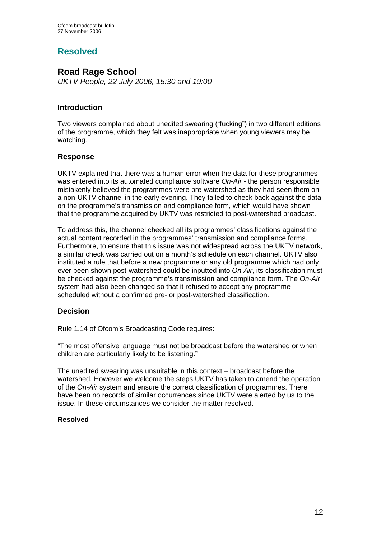## **Resolved**

## **Road Rage School**

*UKTV People, 22 July 2006, 15:30 and 19:00*

## **Introduction**

Two viewers complained about unedited swearing ("fucking") in two different editions of the programme, which they felt was inappropriate when young viewers may be watching.

## **Response**

UKTV explained that there was a human error when the data for these programmes was entered into its automated compliance software *On-Air -* the person responsible mistakenly believed the programmes were pre-watershed as they had seen them on a non-UKTV channel in the early evening. They failed to check back against the data on the programme's transmission and compliance form, which would have shown that the programme acquired by UKTV was restricted to post-watershed broadcast.

To address this, the channel checked all its programmes' classifications against the actual content recorded in the programmes' transmission and compliance forms. Furthermore, to ensure that this issue was not widespread across the UKTV network, a similar check was carried out on a month's schedule on each channel. UKTV also instituted a rule that before a new programme or any old programme which had only ever been shown post-watershed could be inputted into *On-Air*, its classification must be checked against the programme's transmission and compliance form. The *On-Air* system had also been changed so that it refused to accept any programme scheduled without a confirmed pre- or post-watershed classification.

## **Decision**

Rule 1.14 of Ofcom's Broadcasting Code requires:

"The most offensive language must not be broadcast before the watershed or when children are particularly likely to be listening."

The unedited swearing was unsuitable in this context – broadcast before the watershed. However we welcome the steps UKTV has taken to amend the operation of the *On-Air* system and ensure the correct classification of programmes. There have been no records of similar occurrences since UKTV were alerted by us to the issue. In these circumstances we consider the matter resolved.

## **Resolved**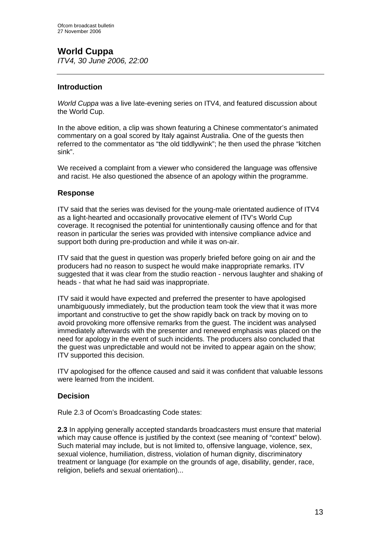## **World Cuppa**

*ITV4, 30 June 2006, 22:00* 

## **Introduction**

*World Cuppa* was a live late-evening series on ITV4, and featured discussion about the World Cup.

In the above edition, a clip was shown featuring a Chinese commentator's animated commentary on a goal scored by Italy against Australia. One of the guests then referred to the commentator as "the old tiddlywink"; he then used the phrase "kitchen sink".

We received a complaint from a viewer who considered the language was offensive and racist. He also questioned the absence of an apology within the programme.

## **Response**

ITV said that the series was devised for the young-male orientated audience of ITV4 as a light-hearted and occasionally provocative element of ITV's World Cup coverage. It recognised the potential for unintentionally causing offence and for that reason in particular the series was provided with intensive compliance advice and support both during pre-production and while it was on-air.

ITV said that the guest in question was properly briefed before going on air and the producers had no reason to suspect he would make inappropriate remarks. ITV suggested that it was clear from the studio reaction - nervous laughter and shaking of heads - that what he had said was inappropriate.

ITV said it would have expected and preferred the presenter to have apologised unambiguously immediately, but the production team took the view that it was more important and constructive to get the show rapidly back on track by moving on to avoid provoking more offensive remarks from the guest. The incident was analysed immediately afterwards with the presenter and renewed emphasis was placed on the need for apology in the event of such incidents. The producers also concluded that the guest was unpredictable and would not be invited to appear again on the show; ITV supported this decision.

ITV apologised for the offence caused and said it was confident that valuable lessons were learned from the incident.

## **Decision**

Rule 2.3 of Ocom's Broadcasting Code states:

**2.3** In applying generally accepted standards broadcasters must ensure that material which may cause offence is justified by the context (see meaning of "context" below). Such material may include, but is not limited to, offensive language, violence, sex, sexual violence, humiliation, distress, violation of human dignity, discriminatory treatment or language (for example on the grounds of age, disability, gender, race, religion, beliefs and sexual orientation)...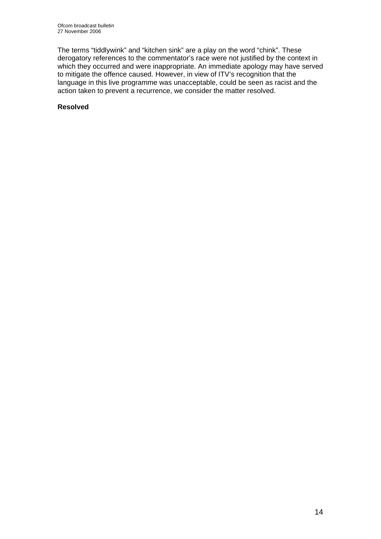The terms "tiddlywink" and "kitchen sink" are a play on the word "chink". These derogatory references to the commentator's race were not justified by the context in which they occurred and were inappropriate. An immediate apology may have served to mitigate the offence caused. However, in view of ITV's recognition that the language in this live programme was unacceptable, could be seen as racist and the action taken to prevent a recurrence, we consider the matter resolved.

## **Resolved**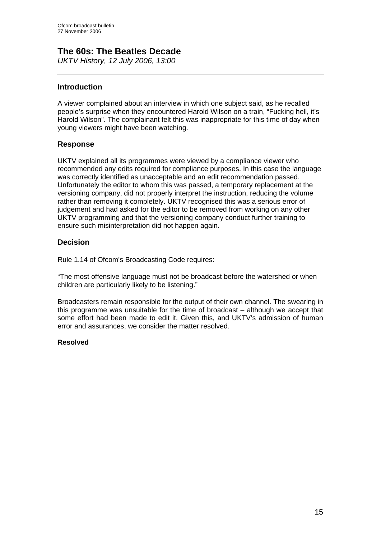## **The 60s: The Beatles Decade**

*UKTV History, 12 July 2006, 13:00*

## **Introduction**

A viewer complained about an interview in which one subject said, as he recalled people's surprise when they encountered Harold Wilson on a train, "Fucking hell, it's Harold Wilson". The complainant felt this was inappropriate for this time of day when young viewers might have been watching.

## **Response**

UKTV explained all its programmes were viewed by a compliance viewer who recommended any edits required for compliance purposes. In this case the language was correctly identified as unacceptable and an edit recommendation passed. Unfortunately the editor to whom this was passed, a temporary replacement at the versioning company, did not properly interpret the instruction, reducing the volume rather than removing it completely. UKTV recognised this was a serious error of judgement and had asked for the editor to be removed from working on any other UKTV programming and that the versioning company conduct further training to ensure such misinterpretation did not happen again.

## **Decision**

Rule 1.14 of Ofcom's Broadcasting Code requires:

"The most offensive language must not be broadcast before the watershed or when children are particularly likely to be listening."

Broadcasters remain responsible for the output of their own channel. The swearing in this programme was unsuitable for the time of broadcast – although we accept that some effort had been made to edit it. Given this, and UKTV's admission of human error and assurances, we consider the matter resolved.

## **Resolved**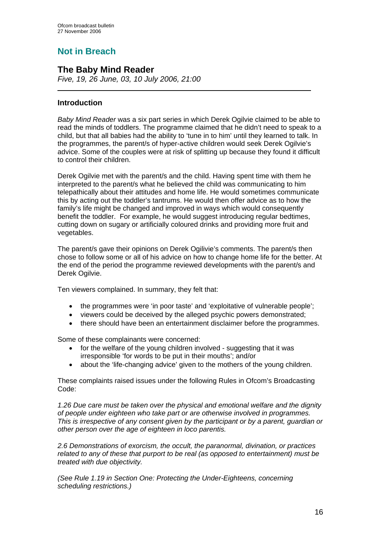## **Not in Breach**

## **The Baby Mind Reader**

*Five, 19, 26 June, 03, 10 July 2006, 21:00* 

## **Introduction**

*Baby Mind Reader* was a six part series in which Derek Ogilvie claimed to be able to read the minds of toddlers. The programme claimed that he didn't need to speak to a child, but that all babies had the ability to 'tune in to him' until they learned to talk. In the programmes, the parent/s of hyper-active children would seek Derek Ogilvie's advice. Some of the couples were at risk of splitting up because they found it difficult to control their children.

Derek Ogilvie met with the parent/s and the child. Having spent time with them he interpreted to the parent/s what he believed the child was communicating to him telepathically about their attitudes and home life. He would sometimes communicate this by acting out the toddler's tantrums. He would then offer advice as to how the family's life might be changed and improved in ways which would consequently benefit the toddler. For example, he would suggest introducing regular bedtimes, cutting down on sugary or artificially coloured drinks and providing more fruit and vegetables.

The parent/s gave their opinions on Derek Ogilivie's comments. The parent/s then chose to follow some or all of his advice on how to change home life for the better. At the end of the period the programme reviewed developments with the parent/s and Derek Ogilvie.

Ten viewers complained. In summary, they felt that:

- the programmes were 'in poor taste' and 'exploitative of vulnerable people';
- viewers could be deceived by the alleged psychic powers demonstrated;
- there should have been an entertainment disclaimer before the programmes.

Some of these complainants were concerned:

- for the welfare of the young children involved suggesting that it was irresponsible 'for words to be put in their mouths'; and/or
- about the 'life-changing advice' given to the mothers of the young children.

These complaints raised issues under the following Rules in Ofcom's Broadcasting Code:

*1.26 Due care must be taken over the physical and emotional welfare and the dignity of people under eighteen who take part or are otherwise involved in programmes. This is irrespective of any consent given by the participant or by a parent, guardian or other person over the age of eighteen in loco parentis.* 

*2.6 Demonstrations of exorcism, the occult, the paranormal, divination, or practices related to any of these that purport to be real (as opposed to entertainment) must be treated with due objectivity.* 

*(See Rule 1.19 in Section One: Protecting the Under-Eighteens, concerning scheduling restrictions.)*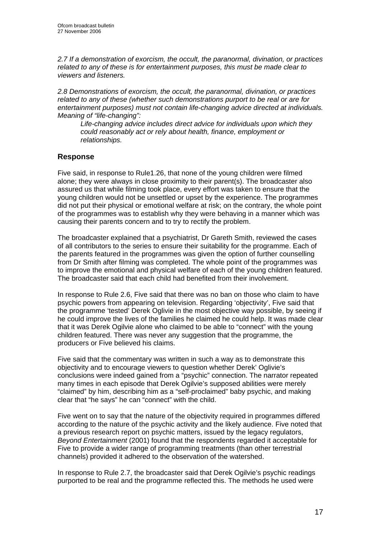*2.7 If a demonstration of exorcism, the occult, the paranormal, divination, or practices related to any of these is for entertainment purposes, this must be made clear to viewers and listeners.* 

*2.8 Demonstrations of exorcism, the occult, the paranormal, divination, or practices related to any of these (whether such demonstrations purport to be real or are for entertainment purposes) must not contain life-changing advice directed at individuals. Meaning of "life-changing":* 

*Life-changing advice includes direct advice for individuals upon which they could reasonably act or rely about health, finance, employment or relationships.* 

## **Response**

Five said, in response to Rule1.26, that none of the young children were filmed alone; they were always in close proximity to their parent(s). The broadcaster also assured us that while filming took place, every effort was taken to ensure that the young children would not be unsettled or upset by the experience. The programmes did not put their physical or emotional welfare at risk; on the contrary, the whole point of the programmes was to establish why they were behaving in a manner which was causing their parents concern and to try to rectify the problem.

The broadcaster explained that a psychiatrist, Dr Gareth Smith, reviewed the cases of all contributors to the series to ensure their suitability for the programme. Each of the parents featured in the programmes was given the option of further counselling from Dr Smith after filming was completed. The whole point of the programmes was to improve the emotional and physical welfare of each of the young children featured. The broadcaster said that each child had benefited from their involvement.

In response to Rule 2.6, Five said that there was no ban on those who claim to have psychic powers from appearing on television. Regarding 'objectivity', Five said that the programme 'tested' Derek Oglivie in the most objective way possible, by seeing if he could improve the lives of the families he claimed he could help. It was made clear that it was Derek Ogilvie alone who claimed to be able to "connect" with the young children featured. There was never any suggestion that the programme, the producers or Five believed his claims.

Five said that the commentary was written in such a way as to demonstrate this objectivity and to encourage viewers to question whether Derek' Oglivie's conclusions were indeed gained from a "psychic" connection. The narrator repeated many times in each episode that Derek Ogilvie's supposed abilities were merely "claimed" by him, describing him as a "self-proclaimed" baby psychic, and making clear that "he says" he can "connect" with the child.

Five went on to say that the nature of the objectivity required in programmes differed according to the nature of the psychic activity and the likely audience. Five noted that a previous research report on psychic matters, issued by the legacy regulators, *Beyond Entertainment* (2001) found that the respondents regarded it acceptable for Five to provide a wider range of programming treatments (than other terrestrial channels) provided it adhered to the observation of the watershed.

In response to Rule 2.7, the broadcaster said that Derek Ogilvie's psychic readings purported to be real and the programme reflected this. The methods he used were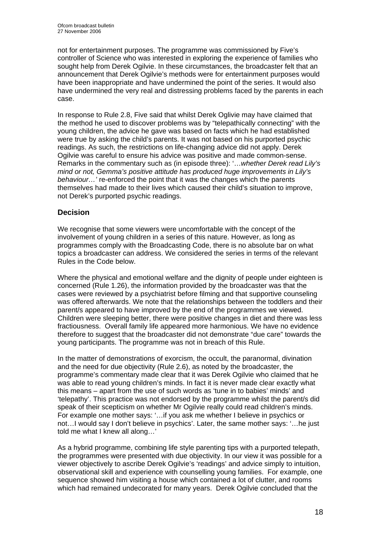not for entertainment purposes. The programme was commissioned by Five's controller of Science who was interested in exploring the experience of families who sought help from Derek Ogilvie. In these circumstances, the broadcaster felt that an announcement that Derek Ogilvie's methods were for entertainment purposes would have been inappropriate and have undermined the point of the series. It would also have undermined the very real and distressing problems faced by the parents in each case.

In response to Rule 2.8, Five said that whilst Derek Oglivie may have claimed that the method he used to discover problems was by "telepathically connecting" with the young children, the advice he gave was based on facts which he had established were true by asking the child's parents. It was not based on his purported psychic readings. As such, the restrictions on life-changing advice did not apply. Derek Ogilvie was careful to ensure his advice was positive and made common-sense. Remarks in the commentary such as (in episode three): '…*whether Derek read Lily's mind or not, Gemma's positive attitude has produced huge improvements in Lily's behaviour…'* re-enforced the point that it was the changes which the parents themselves had made to their lives which caused their child's situation to improve, not Derek's purported psychic readings.

## **Decision**

We recognise that some viewers were uncomfortable with the concept of the involvement of young children in a series of this nature. However, as long as programmes comply with the Broadcasting Code, there is no absolute bar on what topics a broadcaster can address. We considered the series in terms of the relevant Rules in the Code below.

Where the physical and emotional welfare and the dignity of people under eighteen is concerned (Rule 1.26), the information provided by the broadcaster was that the cases were reviewed by a psychiatrist before filming and that supportive counseling was offered afterwards. We note that the relationships between the toddlers and their parent/s appeared to have improved by the end of the programmes we viewed. Children were sleeping better, there were positive changes in diet and there was less fractiousness. Overall family life appeared more harmonious. We have no evidence therefore to suggest that the broadcaster did not demonstrate "due care" towards the young participants. The programme was not in breach of this Rule.

In the matter of demonstrations of exorcism, the occult, the paranormal, divination and the need for due objectivity (Rule 2.6), as noted by the broadcaster, the programme's commentary made clear that it was Derek Ogilvie who claimed that he was able to read young children's minds. In fact it is never made clear exactly what this means – apart from the use of such words as 'tune in to babies' minds' and 'telepathy'. This practice was not endorsed by the programme whilst the parent/s did speak of their scepticism on whether Mr Ogilvie really could read children's minds. For example one mother says: '…if you ask me whether I believe in psychics or not…I would say I don't believe in psychics'. Later, the same mother says: '…he just told me what I knew all along…'

As a hybrid programme, combining life style parenting tips with a purported telepath, the programmes were presented with due objectivity. In our view it was possible for a viewer objectively to ascribe Derek Ogilvie's 'readings' and advice simply to intuition, observational skill and experience with counselling young families. For example, one sequence showed him visiting a house which contained a lot of clutter, and rooms which had remained undecorated for many years. Derek Ogilvie concluded that the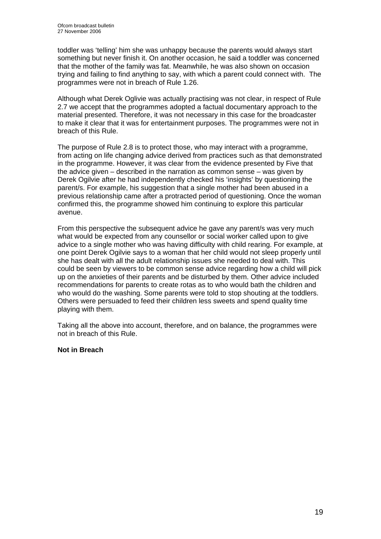toddler was 'telling' him she was unhappy because the parents would always start something but never finish it. On another occasion, he said a toddler was concerned that the mother of the family was fat. Meanwhile, he was also shown on occasion trying and failing to find anything to say, with which a parent could connect with. The programmes were not in breach of Rule 1.26.

Although what Derek Oglivie was actually practising was not clear, in respect of Rule 2.7 we accept that the programmes adopted a factual documentary approach to the material presented. Therefore, it was not necessary in this case for the broadcaster to make it clear that it was for entertainment purposes. The programmes were not in breach of this Rule.

The purpose of Rule 2.8 is to protect those, who may interact with a programme, from acting on life changing advice derived from practices such as that demonstrated in the programme. However, it was clear from the evidence presented by Five that the advice given – described in the narration as common sense – was given by Derek Ogilvie after he had independently checked his 'insights' by questioning the parent/s. For example, his suggestion that a single mother had been abused in a previous relationship came after a protracted period of questioning. Once the woman confirmed this, the programme showed him continuing to explore this particular avenue.

From this perspective the subsequent advice he gave any parent/s was very much what would be expected from any counsellor or social worker called upon to give advice to a single mother who was having difficulty with child rearing. For example, at one point Derek Ogilvie says to a woman that her child would not sleep properly until she has dealt with all the adult relationship issues she needed to deal with. This could be seen by viewers to be common sense advice regarding how a child will pick up on the anxieties of their parents and be disturbed by them. Other advice included recommendations for parents to create rotas as to who would bath the children and who would do the washing. Some parents were told to stop shouting at the toddlers. Others were persuaded to feed their children less sweets and spend quality time playing with them.

Taking all the above into account, therefore, and on balance, the programmes were not in breach of this Rule.

## **Not in Breach**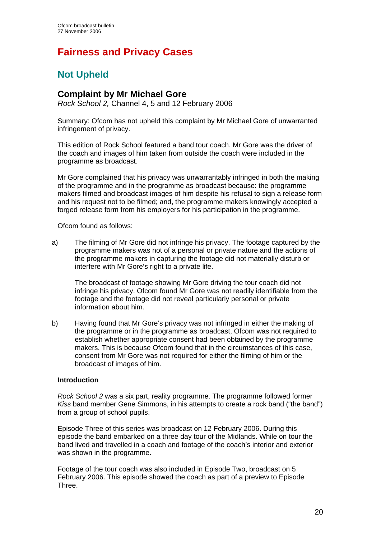# **Fairness and Privacy Cases**

## **Not Upheld**

## **Complaint by Mr Michael Gore**

*Rock School 2,* Channel 4, 5 and 12 February 2006

Summary: Ofcom has not upheld this complaint by Mr Michael Gore of unwarranted infringement of privacy.

This edition of Rock School featured a band tour coach. Mr Gore was the driver of the coach and images of him taken from outside the coach were included in the programme as broadcast.

Mr Gore complained that his privacy was unwarrantably infringed in both the making of the programme and in the programme as broadcast because: the programme makers filmed and broadcast images of him despite his refusal to sign a release form and his request not to be filmed; and, the programme makers knowingly accepted a forged release form from his employers for his participation in the programme.

Ofcom found as follows:

a) The filming of Mr Gore did not infringe his privacy. The footage captured by the programme makers was not of a personal or private nature and the actions of the programme makers in capturing the footage did not materially disturb or interfere with Mr Gore's right to a private life.

The broadcast of footage showing Mr Gore driving the tour coach did not infringe his privacy. Ofcom found Mr Gore was not readily identifiable from the footage and the footage did not reveal particularly personal or private information about him.

b) Having found that Mr Gore's privacy was not infringed in either the making of the programme or in the programme as broadcast, Ofcom was not required to establish whether appropriate consent had been obtained by the programme makers. This is because Ofcom found that in the circumstances of this case, consent from Mr Gore was not required for either the filming of him or the broadcast of images of him.

## **Introduction**

*Rock School 2* was a six part, reality programme. The programme followed former *Kiss* band member Gene Simmons, in his attempts to create a rock band ("the band") from a group of school pupils.

Episode Three of this series was broadcast on 12 February 2006. During this episode the band embarked on a three day tour of the Midlands. While on tour the band lived and travelled in a coach and footage of the coach's interior and exterior was shown in the programme.

Footage of the tour coach was also included in Episode Two, broadcast on 5 February 2006. This episode showed the coach as part of a preview to Episode Three.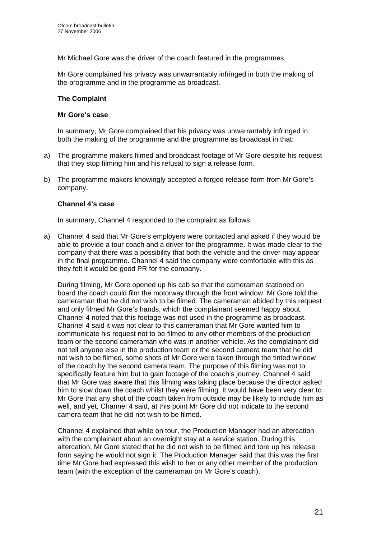Mr Michael Gore was the driver of the coach featured in the programmes.

Mr Gore complained his privacy was unwarrantably infringed in both the making of the programme and in the programme as broadcast.

#### **The Complaint**

#### **Mr Gore's case**

In summary, Mr Gore complained that his privacy was unwarrantably infringed in both the making of the programme and the programme as broadcast in that:

- a) The programme makers filmed and broadcast footage of Mr Gore despite his request that they stop filming him and his refusal to sign a release form.
- b) The programme makers knowingly accepted a forged release form from Mr Gore's company.

#### **Channel 4's case**

In summary, Channel 4 responded to the complaint as follows:

a) Channel 4 said that Mr Gore's employers were contacted and asked if they would be able to provide a tour coach and a driver for the programme. It was made clear to the company that there was a possibility that both the vehicle and the driver may appear in the final programme. Channel 4 said the company were comfortable with this as they felt it would be good PR for the company.

 During filming, Mr Gore opened up his cab so that the cameraman stationed on board the coach could film the motorway through the front window. Mr Gore told the cameraman that he did not wish to be filmed. The cameraman abided by this request and only filmed Mr Gore's hands, which the complainant seemed happy about. Channel 4 noted that this footage was not used in the programme as broadcast. Channel 4 said it was not clear to this cameraman that Mr Gore wanted him to communicate his request not to be filmed to any other members of the production team or the second cameraman who was in another vehicle. As the complainant did not tell anyone else in the production team or the second camera team that he did not wish to be filmed, some shots of Mr Gore were taken through the tinted window of the coach by the second camera team. The purpose of this filming was not to specifically feature him but to gain footage of the coach's journey. Channel 4 said that Mr Gore was aware that this filming was taking place because the director asked him to slow down the coach whilst they were filming. It would have been very clear to Mr Gore that any shot of the coach taken from outside may be likely to include him as well, and yet, Channel 4 said, at this point Mr Gore did not indicate to the second camera team that he did not wish to be filmed.

Channel 4 explained that while on tour, the Production Manager had an altercation with the complainant about an overnight stay at a service station. During this altercation, Mr Gore stated that he did not wish to be filmed and tore up his release form saying he would not sign it. The Production Manager said that this was the first time Mr Gore had expressed this wish to her or any other member of the production team (with the exception of the cameraman on Mr Gore's coach).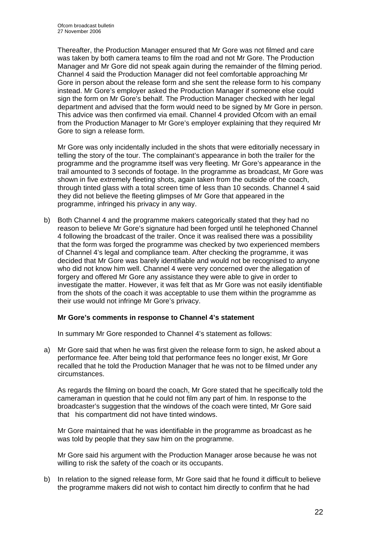Thereafter, the Production Manager ensured that Mr Gore was not filmed and care was taken by both camera teams to film the road and not Mr Gore. The Production Manager and Mr Gore did not speak again during the remainder of the filming period. Channel 4 said the Production Manager did not feel comfortable approaching Mr Gore in person about the release form and she sent the release form to his company instead. Mr Gore's employer asked the Production Manager if someone else could sign the form on Mr Gore's behalf. The Production Manager checked with her legal department and advised that the form would need to be signed by Mr Gore in person. This advice was then confirmed via email. Channel 4 provided Ofcom with an email from the Production Manager to Mr Gore's employer explaining that they required Mr Gore to sign a release form.

Mr Gore was only incidentally included in the shots that were editorially necessary in telling the story of the tour. The complainant's appearance in both the trailer for the programme and the programme itself was very fleeting. Mr Gore's appearance in the trail amounted to 3 seconds of footage. In the programme as broadcast, Mr Gore was shown in five extremely fleeting shots, again taken from the outside of the coach, through tinted glass with a total screen time of less than 10 seconds. Channel 4 said they did not believe the fleeting glimpses of Mr Gore that appeared in the programme, infringed his privacy in any way.

b) Both Channel 4 and the programme makers categorically stated that they had no reason to believe Mr Gore's signature had been forged until he telephoned Channel 4 following the broadcast of the trailer. Once it was realised there was a possibility that the form was forged the programme was checked by two experienced members of Channel 4's legal and compliance team. After checking the programme, it was decided that Mr Gore was barely identifiable and would not be recognised to anyone who did not know him well. Channel 4 were very concerned over the allegation of forgery and offered Mr Gore any assistance they were able to give in order to investigate the matter. However, it was felt that as Mr Gore was not easily identifiable from the shots of the coach it was acceptable to use them within the programme as their use would not infringe Mr Gore's privacy.

## **Mr Gore's comments in response to Channel 4's statement**

In summary Mr Gore responded to Channel 4's statement as follows:

a) Mr Gore said that when he was first given the release form to sign, he asked about a performance fee. After being told that performance fees no longer exist, Mr Gore recalled that he told the Production Manager that he was not to be filmed under any circumstances.

 As regards the filming on board the coach, Mr Gore stated that he specifically told the cameraman in question that he could not film any part of him. In response to the broadcaster's suggestion that the windows of the coach were tinted, Mr Gore said that his compartment did not have tinted windows.

 Mr Gore maintained that he was identifiable in the programme as broadcast as he was told by people that they saw him on the programme.

 Mr Gore said his argument with the Production Manager arose because he was not willing to risk the safety of the coach or its occupants.

b) In relation to the signed release form, Mr Gore said that he found it difficult to believe the programme makers did not wish to contact him directly to confirm that he had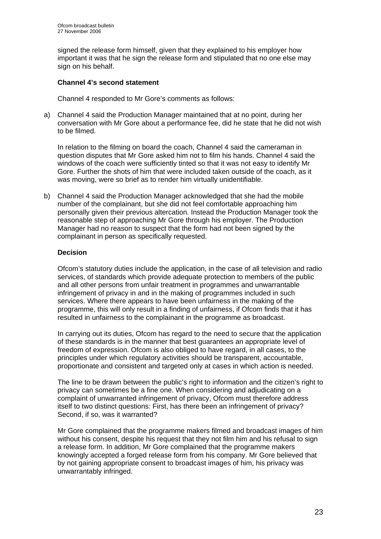signed the release form himself, given that they explained to his employer how important it was that he sign the release form and stipulated that no one else may sign on his behalf.

## **Channel 4's second statement**

Channel 4 responded to Mr Gore's comments as follows:

a) Channel 4 said the Production Manager maintained that at no point, during her conversation with Mr Gore about a performance fee, did he state that he did not wish to be filmed.

In relation to the filming on board the coach, Channel 4 said the cameraman in question disputes that Mr Gore asked him not to film his hands. Channel 4 said the windows of the coach were sufficiently tinted so that it was not easy to identify Mr Gore. Further the shots of him that were included taken outside of the coach, as it was moving, were so brief as to render him virtually unidentifiable.

b) Channel 4 said the Production Manager acknowledged that she had the mobile number of the complainant, but she did not feel comfortable approaching him personally given their previous altercation. Instead the Production Manager took the reasonable step of approaching Mr Gore through his employer. The Production Manager had no reason to suspect that the form had not been signed by the complainant in person as specifically requested.

## **Decision**

Ofcom's statutory duties include the application, in the case of all television and radio services, of standards which provide adequate protection to members of the public and all other persons from unfair treatment in programmes and unwarrantable infringement of privacy in and in the making of programmes included in such services. Where there appears to have been unfairness in the making of the programme, this will only result in a finding of unfairness, if Ofcom finds that it has resulted in unfairness to the complainant in the programme as broadcast.

In carrying out its duties, Ofcom has regard to the need to secure that the application of these standards is in the manner that best guarantees an appropriate level of freedom of expression. Ofcom is also obliged to have regard, in all cases, to the principles under which regulatory activities should be transparent, accountable, proportionate and consistent and targeted only at cases in which action is needed.

The line to be drawn between the public's right to information and the citizen's right to privacy can sometimes be a fine one. When considering and adjudicating on a complaint of unwarranted infringement of privacy, Ofcom must therefore address itself to two distinct questions: First, has there been an infringement of privacy? Second, if so, was it warranted?

Mr Gore complained that the programme makers filmed and broadcast images of him without his consent, despite his request that they not film him and his refusal to sign a release form. In addition, Mr Gore complained that the programme makers knowingly accepted a forged release form from his company. Mr Gore believed that by not gaining appropriate consent to broadcast images of him, his privacy was unwarrantably infringed.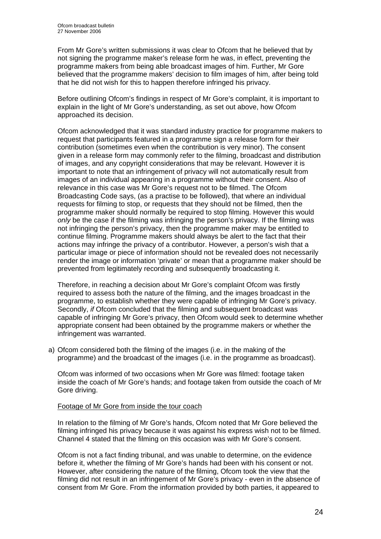From Mr Gore's written submissions it was clear to Ofcom that he believed that by not signing the programme maker's release form he was, in effect, preventing the programme makers from being able broadcast images of him. Further, Mr Gore believed that the programme makers' decision to film images of him, after being told that he did not wish for this to happen therefore infringed his privacy.

Before outlining Ofcom's findings in respect of Mr Gore's complaint, it is important to explain in the light of Mr Gore's understanding, as set out above, how Ofcom approached its decision.

Ofcom acknowledged that it was standard industry practice for programme makers to request that participants featured in a programme sign a release form for their contribution (sometimes even when the contribution is very minor). The consent given in a release form may commonly refer to the filming, broadcast and distribution of images, and any copyright considerations that may be relevant. However it is important to note that an infringement of privacy will not automatically result from images of an individual appearing in a programme without their consent. Also of relevance in this case was Mr Gore's request not to be filmed. The Ofcom Broadcasting Code says, (as a practise to be followed), that where an individual requests for filming to stop, or requests that they should not be filmed, then the programme maker should normally be required to stop filming. However this would *only* be the case if the filming was infringing the person's privacy. If the filming was not infringing the person's privacy, then the programme maker may be entitled to continue filming. Programme makers should always be alert to the fact that their actions may infringe the privacy of a contributor. However, a person's wish that a particular image or piece of information should not be revealed does not necessarily render the image or information 'private' or mean that a programme maker should be prevented from legitimately recording and subsequently broadcasting it.

Therefore, in reaching a decision about Mr Gore's complaint Ofcom was firstly required to assess both the nature of the filming, and the images broadcast in the programme, to establish whether they were capable of infringing Mr Gore's privacy. Secondly, *if* Ofcom concluded that the filming and subsequent broadcast was capable of infringing Mr Gore's privacy, then Ofcom would seek to determine whether appropriate consent had been obtained by the programme makers or whether the infringement was warranted.

a) Ofcom considered both the filming of the images (i.e. in the making of the programme) and the broadcast of the images (i.e. in the programme as broadcast).

 Ofcom was informed of two occasions when Mr Gore was filmed: footage taken inside the coach of Mr Gore's hands; and footage taken from outside the coach of Mr Gore driving.

## Footage of Mr Gore from inside the tour coach

 In relation to the filming of Mr Gore's hands, Ofcom noted that Mr Gore believed the filming infringed his privacy because it was against his express wish not to be filmed. Channel 4 stated that the filming on this occasion was with Mr Gore's consent.

 Ofcom is not a fact finding tribunal, and was unable to determine, on the evidence before it, whether the filming of Mr Gore's hands had been with his consent or not. However, after considering the nature of the filming, Ofcom took the view that the filming did not result in an infringement of Mr Gore's privacy - even in the absence of consent from Mr Gore. From the information provided by both parties, it appeared to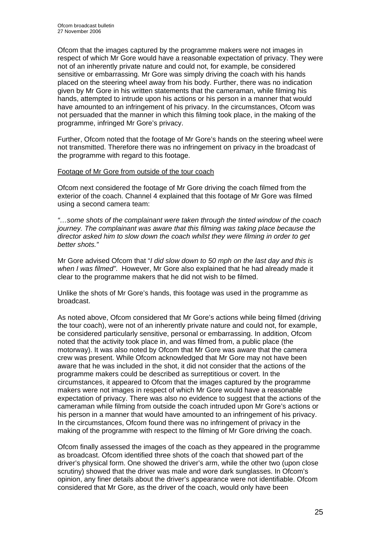Ofcom that the images captured by the programme makers were not images in respect of which Mr Gore would have a reasonable expectation of privacy. They were not of an inherently private nature and could not, for example, be considered sensitive or embarrassing. Mr Gore was simply driving the coach with his hands placed on the steering wheel away from his body. Further, there was no indication given by Mr Gore in his written statements that the cameraman, while filming his hands, attempted to intrude upon his actions or his person in a manner that would have amounted to an infringement of his privacy. In the circumstances, Ofcom was not persuaded that the manner in which this filming took place, in the making of the programme, infringed Mr Gore's privacy.

 Further, Ofcom noted that the footage of Mr Gore's hands on the steering wheel were not transmitted. Therefore there was no infringement on privacy in the broadcast of the programme with regard to this footage.

#### Footage of Mr Gore from outside of the tour coach

 Ofcom next considered the footage of Mr Gore driving the coach filmed from the exterior of the coach. Channel 4 explained that this footage of Mr Gore was filmed using a second camera team:

 *"…some shots of the complainant were taken through the tinted window of the coach journey. The complainant was aware that this filming was taking place because the director asked him to slow down the coach whilst they were filming in order to get better shots."* 

 Mr Gore advised Ofcom that "*I did slow down to 50 mph on the last day and this is when I was filmed"*. However, Mr Gore also explained that he had already made it clear to the programme makers that he did not wish to be filmed.

 Unlike the shots of Mr Gore's hands, this footage was used in the programme as broadcast.

 As noted above, Ofcom considered that Mr Gore's actions while being filmed (driving the tour coach), were not of an inherently private nature and could not, for example, be considered particularly sensitive, personal or embarrassing. In addition, Ofcom noted that the activity took place in, and was filmed from, a public place (the motorway). It was also noted by Ofcom that Mr Gore was aware that the camera crew was present. While Ofcom acknowledged that Mr Gore may not have been aware that he was included in the shot, it did not consider that the actions of the programme makers could be described as surreptitious or covert. In the circumstances, it appeared to Ofcom that the images captured by the programme makers were not images in respect of which Mr Gore would have a reasonable expectation of privacy. There was also no evidence to suggest that the actions of the cameraman while filming from outside the coach intruded upon Mr Gore's actions or his person in a manner that would have amounted to an infringement of his privacy. In the circumstances, Ofcom found there was no infringement of privacy in the making of the programme with respect to the filming of Mr Gore driving the coach.

 Ofcom finally assessed the images of the coach as they appeared in the programme as broadcast. Ofcom identified three shots of the coach that showed part of the driver's physical form. One showed the driver's arm, while the other two (upon close scrutiny) showed that the driver was male and wore dark sunglasses. In Ofcom's opinion, any finer details about the driver's appearance were not identifiable. Ofcom considered that Mr Gore, as the driver of the coach, would only have been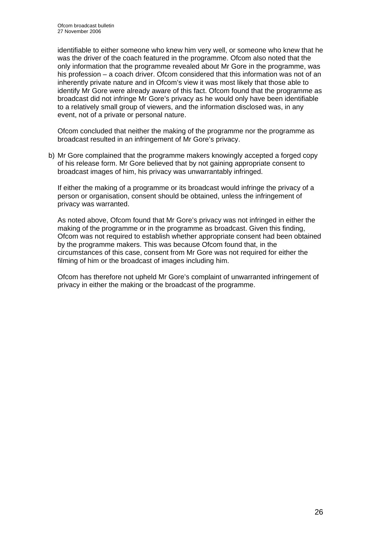identifiable to either someone who knew him very well, or someone who knew that he was the driver of the coach featured in the programme. Ofcom also noted that the only information that the programme revealed about Mr Gore in the programme, was his profession – a coach driver. Ofcom considered that this information was not of an inherently private nature and in Ofcom's view it was most likely that those able to identify Mr Gore were already aware of this fact. Ofcom found that the programme as broadcast did not infringe Mr Gore's privacy as he would only have been identifiable to a relatively small group of viewers, and the information disclosed was, in any event, not of a private or personal nature.

 Ofcom concluded that neither the making of the programme nor the programme as broadcast resulted in an infringement of Mr Gore's privacy.

b) Mr Gore complained that the programme makers knowingly accepted a forged copy of his release form. Mr Gore believed that by not gaining appropriate consent to broadcast images of him, his privacy was unwarrantably infringed.

 If either the making of a programme or its broadcast would infringe the privacy of a person or organisation, consent should be obtained, unless the infringement of privacy was warranted.

 As noted above, Ofcom found that Mr Gore's privacy was not infringed in either the making of the programme or in the programme as broadcast. Given this finding, Ofcom was not required to establish whether appropriate consent had been obtained by the programme makers. This was because Ofcom found that, in the circumstances of this case, consent from Mr Gore was not required for either the filming of him or the broadcast of images including him.

Ofcom has therefore not upheld Mr Gore's complaint of unwarranted infringement of privacy in either the making or the broadcast of the programme.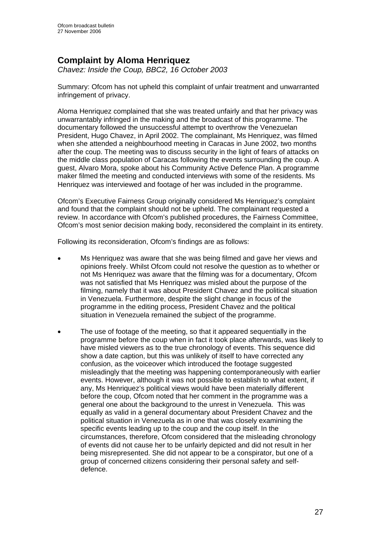## **Complaint by Aloma Henriquez**

*Chavez: Inside the Coup, BBC2, 16 October 2003* 

Summary: Ofcom has not upheld this complaint of unfair treatment and unwarranted infringement of privacy.

Aloma Henriquez complained that she was treated unfairly and that her privacy was unwarrantably infringed in the making and the broadcast of this programme. The documentary followed the unsuccessful attempt to overthrow the Venezuelan President, Hugo Chavez, in April 2002. The complainant, Ms Henriquez, was filmed when she attended a neighbourhood meeting in Caracas in June 2002, two months after the coup. The meeting was to discuss security in the light of fears of attacks on the middle class population of Caracas following the events surrounding the coup. A guest, Alvaro Mora, spoke about his Community Active Defence Plan. A programme maker filmed the meeting and conducted interviews with some of the residents. Ms Henriquez was interviewed and footage of her was included in the programme.

Ofcom's Executive Fairness Group originally considered Ms Henriquez's complaint and found that the complaint should not be upheld. The complainant requested a review. In accordance with Ofcom's published procedures, the Fairness Committee, Ofcom's most senior decision making body, reconsidered the complaint in its entirety.

Following its reconsideration, Ofcom's findings are as follows:

- Ms Henriquez was aware that she was being filmed and gave her views and opinions freely. Whilst Ofcom could not resolve the question as to whether or not Ms Henriquez was aware that the filming was for a documentary, Ofcom was not satisfied that Ms Henriquez was misled about the purpose of the filming, namely that it was about President Chavez and the political situation in Venezuela. Furthermore, despite the slight change in focus of the programme in the editing process, President Chavez and the political situation in Venezuela remained the subject of the programme.
- The use of footage of the meeting, so that it appeared sequentially in the programme before the coup when in fact it took place afterwards, was likely to have misled viewers as to the true chronology of events. This sequence did show a date caption, but this was unlikely of itself to have corrected any confusion, as the voiceover which introduced the footage suggested misleadingly that the meeting was happening contemporaneously with earlier events. However, although it was not possible to establish to what extent, if any, Ms Henriquez's political views would have been materially different before the coup, Ofcom noted that her comment in the programme was a general one about the background to the unrest in Venezuela. This was equally as valid in a general documentary about President Chavez and the political situation in Venezuela as in one that was closely examining the specific events leading up to the coup and the coup itself. In the circumstances, therefore, Ofcom considered that the misleading chronology of events did not cause her to be unfairly depicted and did not result in her being misrepresented. She did not appear to be a conspirator, but one of a group of concerned citizens considering their personal safety and selfdefence.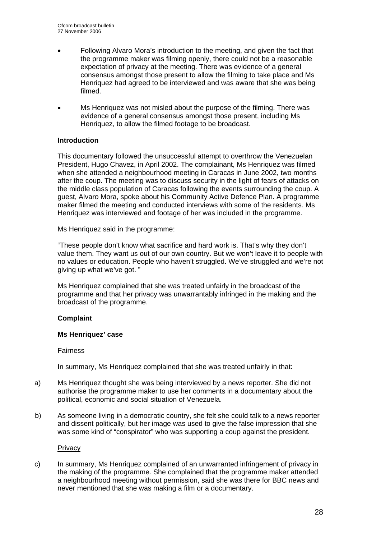- Following Alvaro Mora's introduction to the meeting, and given the fact that the programme maker was filming openly, there could not be a reasonable expectation of privacy at the meeting. There was evidence of a general consensus amongst those present to allow the filming to take place and Ms Henriquez had agreed to be interviewed and was aware that she was being filmed.
- Ms Henriquez was not misled about the purpose of the filming. There was evidence of a general consensus amongst those present, including Ms Henriquez, to allow the filmed footage to be broadcast.

## **Introduction**

This documentary followed the unsuccessful attempt to overthrow the Venezuelan President, Hugo Chavez, in April 2002. The complainant, Ms Henriquez was filmed when she attended a neighbourhood meeting in Caracas in June 2002, two months after the coup. The meeting was to discuss security in the light of fears of attacks on the middle class population of Caracas following the events surrounding the coup. A guest, Alvaro Mora, spoke about his Community Active Defence Plan. A programme maker filmed the meeting and conducted interviews with some of the residents. Ms Henriquez was interviewed and footage of her was included in the programme.

Ms Henriquez said in the programme:

"These people don't know what sacrifice and hard work is. That's why they don't value them. They want us out of our own country. But we won't leave it to people with no values or education. People who haven't struggled. We've struggled and we're not giving up what we've got. "

Ms Henriquez complained that she was treated unfairly in the broadcast of the programme and that her privacy was unwarrantably infringed in the making and the broadcast of the programme.

## **Complaint**

## **Ms Henriquez' case**

#### Fairness

In summary, Ms Henriquez complained that she was treated unfairly in that:

- a) Ms Henriquez thought she was being interviewed by a news reporter. She did not authorise the programme maker to use her comments in a documentary about the political, economic and social situation of Venezuela.
- b) As someone living in a democratic country, she felt she could talk to a news reporter and dissent politically, but her image was used to give the false impression that she was some kind of "conspirator" who was supporting a coup against the president.

**Privacy** 

c) In summary, Ms Henriquez complained of an unwarranted infringement of privacy in the making of the programme. She complained that the programme maker attended a neighbourhood meeting without permission, said she was there for BBC news and never mentioned that she was making a film or a documentary.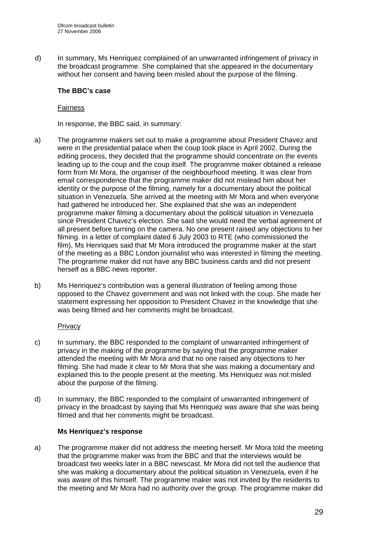d) In summary, Ms Henriquez complained of an unwarranted infringement of privacy in the broadcast programme. She complained that she appeared in the documentary without her consent and having been misled about the purpose of the filming.

## **The BBC's case**

#### Fairness

In response, the BBC said, in summary:

- a) The programme makers set out to make a programme about President Chavez and were in the presidential palace when the coup took place in April 2002. During the editing process, they decided that the programme should concentrate on the events leading up to the coup and the coup itself. The programme maker obtained a release form from Mr Mora, the organiser of the neighbourhood meeting. It was clear from email correspondence that the programme maker did not mislead him about her identity or the purpose of the filming, namely for a documentary about the political situation in Venezuela. She arrived at the meeting with Mr Mora and when everyone had gathered he introduced her. She explained that she was an independent programme maker filming a documentary about the political situation in Venezuela since President Chavez's election. She said she would need the verbal agreement of all present before turning on the camera. No one present raised any objections to her filming. In a letter of complaint dated 6 July 2003 to RTE (who commissioned the film), Ms Henriques said that Mr Mora introduced the programme maker at the start of the meeting as a BBC London journalist who was interested in filming the meeting. The programme maker did not have any BBC business cards and did not present herself as a BBC news reporter.
- b) Ms Henriquez's contribution was a general illustration of feeling among those opposed to the Chavez government and was not linked with the coup. She made her statement expressing her opposition to President Chavez in the knowledge that she was being filmed and her comments might be broadcast.

## **Privacy**

- c) In summary, the BBC responded to the complaint of unwarranted infringement of privacy in the making of the programme by saying that the programme maker attended the meeting with Mr Mora and that no one raised any objections to her filming. She had made it clear to Mr Mora that she was making a documentary and explained this to the people present at the meeting. Ms Henriquez was not misled about the purpose of the filming.
- d) In summary, the BBC responded to the complaint of unwarranted infringement of privacy in the broadcast by saying that Ms Henriquez was aware that she was being filmed and that her comments might be broadcast.

## **Ms Henriquez's response**

a) The programme maker did not address the meeting herself. Mr Mora told the meeting that the programme maker was from the BBC and that the interviews would be broadcast two weeks later in a BBC newscast. Mr Mora did not tell the audience that she was making a documentary about the political situation in Venezuela, even if he was aware of this himself. The programme maker was not invited by the residents to the meeting and Mr Mora had no authority over the group. The programme maker did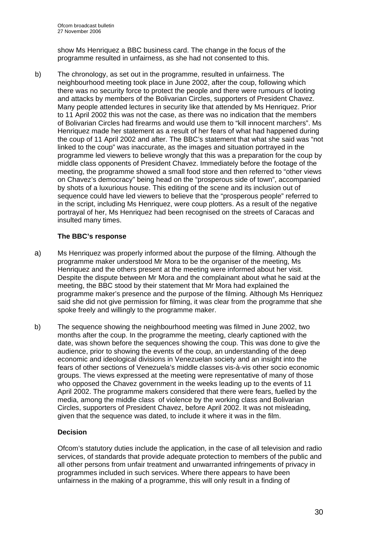show Ms Henriquez a BBC business card. The change in the focus of the programme resulted in unfairness, as she had not consented to this.

b) The chronology, as set out in the programme, resulted in unfairness. The neighbourhood meeting took place in June 2002, after the coup, following which there was no security force to protect the people and there were rumours of looting and attacks by members of the Bolivarian Circles, supporters of President Chavez. Many people attended lectures in security like that attended by Ms Henriquez. Prior to 11 April 2002 this was not the case, as there was no indication that the members of Bolivarian Circles had firearms and would use them to "kill innocent marchers". Ms Henriquez made her statement as a result of her fears of what had happened during the coup of 11 April 2002 and after. The BBC's statement that what she said was "not linked to the coup" was inaccurate, as the images and situation portrayed in the programme led viewers to believe wrongly that this was a preparation for the coup by middle class opponents of President Chavez. Immediately before the footage of the meeting, the programme showed a small food store and then referred to "other views on Chavez's democracy" being head on the "prosperous side of town", accompanied by shots of a luxurious house. This editing of the scene and its inclusion out of sequence could have led viewers to believe that the "prosperous people" referred to in the script, including Ms Henriquez, were coup plotters. As a result of the negative portrayal of her, Ms Henriquez had been recognised on the streets of Caracas and insulted many times.

## **The BBC's response**

- a) Ms Henriquez was properly informed about the purpose of the filming. Although the programme maker understood Mr Mora to be the organiser of the meeting, Ms Henriquez and the others present at the meeting were informed about her visit. Despite the dispute between Mr Mora and the complainant about what he said at the meeting, the BBC stood by their statement that Mr Mora had explained the programme maker's presence and the purpose of the filming. Although Ms Henriquez said she did not give permission for filming, it was clear from the programme that she spoke freely and willingly to the programme maker.
- b) The sequence showing the neighbourhood meeting was filmed in June 2002, two months after the coup. In the programme the meeting, clearly captioned with the date, was shown before the sequences showing the coup. This was done to give the audience, prior to showing the events of the coup, an understanding of the deep economic and ideological divisions in Venezuelan society and an insight into the fears of other sections of Venezuela's middle classes vis-à-vis other socio economic groups. The views expressed at the meeting were representative of many of those who opposed the Chavez government in the weeks leading up to the events of 11 April 2002. The programme makers considered that there were fears, fuelled by the media, among the middle class of violence by the working class and Bolivarian Circles, supporters of President Chavez, before April 2002. It was not misleading, given that the sequence was dated, to include it where it was in the film.

## **Decision**

Ofcom's statutory duties include the application, in the case of all television and radio services, of standards that provide adequate protection to members of the public and all other persons from unfair treatment and unwarranted infringements of privacy in programmes included in such services. Where there appears to have been unfairness in the making of a programme, this will only result in a finding of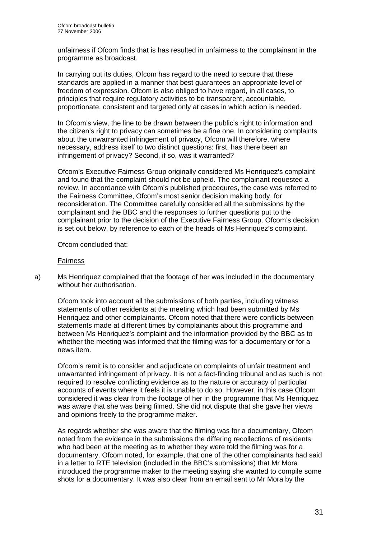unfairness if Ofcom finds that is has resulted in unfairness to the complainant in the programme as broadcast.

In carrying out its duties, Ofcom has regard to the need to secure that these standards are applied in a manner that best guarantees an appropriate level of freedom of expression. Ofcom is also obliged to have regard, in all cases, to principles that require regulatory activities to be transparent, accountable, proportionate, consistent and targeted only at cases in which action is needed.

In Ofcom's view, the line to be drawn between the public's right to information and the citizen's right to privacy can sometimes be a fine one. In considering complaints about the unwarranted infringement of privacy, Ofcom will therefore, where necessary, address itself to two distinct questions: first, has there been an infringement of privacy? Second, if so, was it warranted?

Ofcom's Executive Fairness Group originally considered Ms Henriquez's complaint and found that the complaint should not be upheld. The complainant requested a review. In accordance with Ofcom's published procedures, the case was referred to the Fairness Committee, Ofcom's most senior decision making body, for reconsideration. The Committee carefully considered all the submissions by the complainant and the BBC and the responses to further questions put to the complainant prior to the decision of the Executive Fairness Group. Ofcom's decision is set out below, by reference to each of the heads of Ms Henriquez's complaint.

Ofcom concluded that:

#### Fairness

a) Ms Henriquez complained that the footage of her was included in the documentary without her authorisation.

Ofcom took into account all the submissions of both parties, including witness statements of other residents at the meeting which had been submitted by Ms Henriquez and other complainants. Ofcom noted that there were conflicts between statements made at different times by complainants about this programme and between Ms Henriquez's complaint and the information provided by the BBC as to whether the meeting was informed that the filming was for a documentary or for a news item.

Ofcom's remit is to consider and adjudicate on complaints of unfair treatment and unwarranted infringement of privacy. It is not a fact-finding tribunal and as such is not required to resolve conflicting evidence as to the nature or accuracy of particular accounts of events where it feels it is unable to do so. However, in this case Ofcom considered it was clear from the footage of her in the programme that Ms Henriquez was aware that she was being filmed. She did not dispute that she gave her views and opinions freely to the programme maker.

As regards whether she was aware that the filming was for a documentary, Ofcom noted from the evidence in the submissions the differing recollections of residents who had been at the meeting as to whether they were told the filming was for a documentary. Ofcom noted, for example, that one of the other complainants had said in a letter to RTE television (included in the BBC's submissions) that Mr Mora introduced the programme maker to the meeting saying she wanted to compile some shots for a documentary. It was also clear from an email sent to Mr Mora by the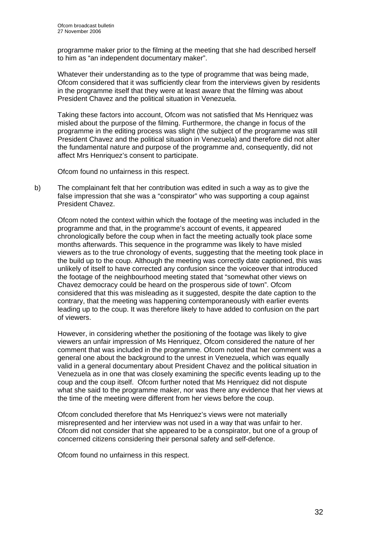programme maker prior to the filming at the meeting that she had described herself to him as "an independent documentary maker".

Whatever their understanding as to the type of programme that was being made, Ofcom considered that it was sufficiently clear from the interviews given by residents in the programme itself that they were at least aware that the filming was about President Chavez and the political situation in Venezuela.

Taking these factors into account, Ofcom was not satisfied that Ms Henriquez was misled about the purpose of the filming. Furthermore, the change in focus of the programme in the editing process was slight (the subject of the programme was still President Chavez and the political situation in Venezuela) and therefore did not alter the fundamental nature and purpose of the programme and, consequently, did not affect Mrs Henriquez's consent to participate.

Ofcom found no unfairness in this respect.

b) The complainant felt that her contribution was edited in such a way as to give the false impression that she was a "conspirator" who was supporting a coup against President Chavez.

Ofcom noted the context within which the footage of the meeting was included in the programme and that, in the programme's account of events, it appeared chronologically before the coup when in fact the meeting actually took place some months afterwards. This sequence in the programme was likely to have misled viewers as to the true chronology of events, suggesting that the meeting took place in the build up to the coup. Although the meeting was correctly date captioned, this was unlikely of itself to have corrected any confusion since the voiceover that introduced the footage of the neighbourhood meeting stated that "somewhat other views on Chavez democracy could be heard on the prosperous side of town". Ofcom considered that this was misleading as it suggested, despite the date caption to the contrary, that the meeting was happening contemporaneously with earlier events leading up to the coup. It was therefore likely to have added to confusion on the part of viewers.

However, in considering whether the positioning of the footage was likely to give viewers an unfair impression of Ms Henriquez, Ofcom considered the nature of her comment that was included in the programme. Ofcom noted that her comment was a general one about the background to the unrest in Venezuela, which was equally valid in a general documentary about President Chavez and the political situation in Venezuela as in one that was closely examining the specific events leading up to the coup and the coup itself. Ofcom further noted that Ms Henriquez did not dispute what she said to the programme maker, nor was there any evidence that her views at the time of the meeting were different from her views before the coup.

Ofcom concluded therefore that Ms Henriquez's views were not materially misrepresented and her interview was not used in a way that was unfair to her. Ofcom did not consider that she appeared to be a conspirator, but one of a group of concerned citizens considering their personal safety and self-defence.

Ofcom found no unfairness in this respect.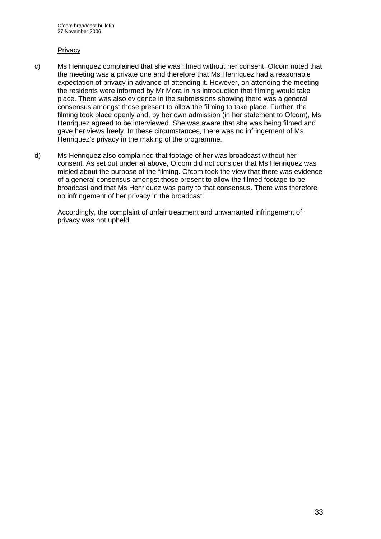#### **Privacy**

- c) Ms Henriquez complained that she was filmed without her consent. Ofcom noted that the meeting was a private one and therefore that Ms Henriquez had a reasonable expectation of privacy in advance of attending it. However, on attending the meeting the residents were informed by Mr Mora in his introduction that filming would take place. There was also evidence in the submissions showing there was a general consensus amongst those present to allow the filming to take place. Further, the filming took place openly and, by her own admission (in her statement to Ofcom), Ms Henriquez agreed to be interviewed. She was aware that she was being filmed and gave her views freely. In these circumstances, there was no infringement of Ms Henriquez's privacy in the making of the programme.
- d) Ms Henriquez also complained that footage of her was broadcast without her consent. As set out under a) above, Ofcom did not consider that Ms Henriquez was misled about the purpose of the filming. Ofcom took the view that there was evidence of a general consensus amongst those present to allow the filmed footage to be broadcast and that Ms Henriquez was party to that consensus. There was therefore no infringement of her privacy in the broadcast.

Accordingly, the complaint of unfair treatment and unwarranted infringement of privacy was not upheld.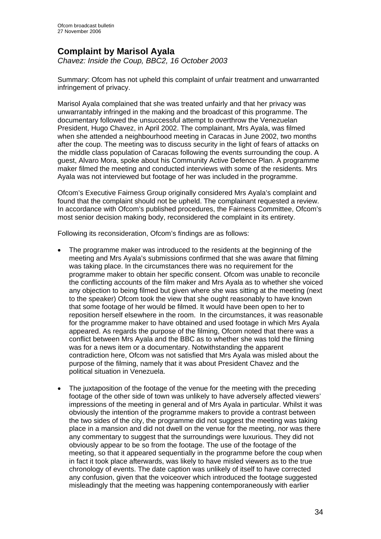## **Complaint by Marisol Ayala**

*Chavez: Inside the Coup, BBC2, 16 October 2003* 

Summary: Ofcom has not upheld this complaint of unfair treatment and unwarranted infringement of privacy.

Marisol Ayala complained that she was treated unfairly and that her privacy was unwarrantably infringed in the making and the broadcast of this programme. The documentary followed the unsuccessful attempt to overthrow the Venezuelan President, Hugo Chavez, in April 2002. The complainant, Mrs Ayala, was filmed when she attended a neighbourhood meeting in Caracas in June 2002, two months after the coup. The meeting was to discuss security in the light of fears of attacks on the middle class population of Caracas following the events surrounding the coup. A guest, Alvaro Mora, spoke about his Community Active Defence Plan. A programme maker filmed the meeting and conducted interviews with some of the residents. Mrs Ayala was not interviewed but footage of her was included in the programme.

Ofcom's Executive Fairness Group originally considered Mrs Ayala's complaint and found that the complaint should not be upheld. The complainant requested a review. In accordance with Ofcom's published procedures, the Fairness Committee, Ofcom's most senior decision making body, reconsidered the complaint in its entirety.

Following its reconsideration, Ofcom's findings are as follows:

- The programme maker was introduced to the residents at the beginning of the meeting and Mrs Ayala's submissions confirmed that she was aware that filming was taking place. In the circumstances there was no requirement for the programme maker to obtain her specific consent. Ofcom was unable to reconcile the conflicting accounts of the film maker and Mrs Ayala as to whether she voiced any objection to being filmed but given where she was sitting at the meeting (next to the speaker) Ofcom took the view that she ought reasonably to have known that some footage of her would be filmed. It would have been open to her to reposition herself elsewhere in the room. In the circumstances, it was reasonable for the programme maker to have obtained and used footage in which Mrs Ayala appeared. As regards the purpose of the filming, Ofcom noted that there was a conflict between Mrs Ayala and the BBC as to whether she was told the filming was for a news item or a documentary. Notwithstanding the apparent contradiction here, Ofcom was not satisfied that Mrs Ayala was misled about the purpose of the filming, namely that it was about President Chavez and the political situation in Venezuela.
- The juxtaposition of the footage of the venue for the meeting with the preceding footage of the other side of town was unlikely to have adversely affected viewers' impressions of the meeting in general and of Mrs Ayala in particular. Whilst it was obviously the intention of the programme makers to provide a contrast between the two sides of the city, the programme did not suggest the meeting was taking place in a mansion and did not dwell on the venue for the meeting, nor was there any commentary to suggest that the surroundings were luxurious. They did not obviously appear to be so from the footage. The use of the footage of the meeting, so that it appeared sequentially in the programme before the coup when in fact it took place afterwards, was likely to have misled viewers as to the true chronology of events. The date caption was unlikely of itself to have corrected any confusion, given that the voiceover which introduced the footage suggested misleadingly that the meeting was happening contemporaneously with earlier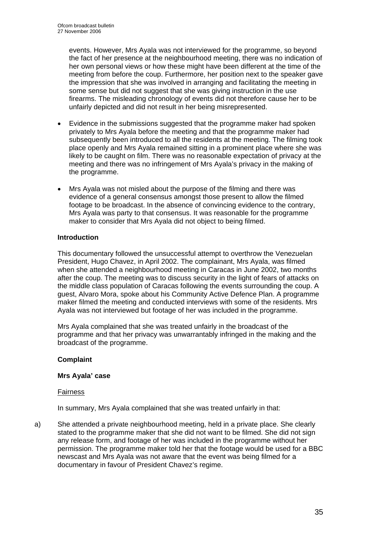events. However, Mrs Ayala was not interviewed for the programme, so beyond the fact of her presence at the neighbourhood meeting, there was no indication of her own personal views or how these might have been different at the time of the meeting from before the coup. Furthermore, her position next to the speaker gave the impression that she was involved in arranging and facilitating the meeting in some sense but did not suggest that she was giving instruction in the use firearms. The misleading chronology of events did not therefore cause her to be unfairly depicted and did not result in her being misrepresented.

- Evidence in the submissions suggested that the programme maker had spoken privately to Mrs Ayala before the meeting and that the programme maker had subsequently been introduced to all the residents at the meeting. The filming took place openly and Mrs Ayala remained sitting in a prominent place where she was likely to be caught on film. There was no reasonable expectation of privacy at the meeting and there was no infringement of Mrs Ayala's privacy in the making of the programme.
- Mrs Ayala was not misled about the purpose of the filming and there was evidence of a general consensus amongst those present to allow the filmed footage to be broadcast. In the absence of convincing evidence to the contrary, Mrs Ayala was party to that consensus. It was reasonable for the programme maker to consider that Mrs Ayala did not object to being filmed.

## **Introduction**

This documentary followed the unsuccessful attempt to overthrow the Venezuelan President, Hugo Chavez, in April 2002. The complainant, Mrs Ayala, was filmed when she attended a neighbourhood meeting in Caracas in June 2002, two months after the coup. The meeting was to discuss security in the light of fears of attacks on the middle class population of Caracas following the events surrounding the coup. A guest, Alvaro Mora, spoke about his Community Active Defence Plan. A programme maker filmed the meeting and conducted interviews with some of the residents. Mrs Ayala was not interviewed but footage of her was included in the programme.

Mrs Ayala complained that she was treated unfairly in the broadcast of the programme and that her privacy was unwarrantably infringed in the making and the broadcast of the programme.

## **Complaint**

## **Mrs Ayala' case**

## Fairness

In summary, Mrs Ayala complained that she was treated unfairly in that:

a) She attended a private neighbourhood meeting, held in a private place. She clearly stated to the programme maker that she did not want to be filmed. She did not sign any release form, and footage of her was included in the programme without her permission. The programme maker told her that the footage would be used for a BBC newscast and Mrs Ayala was not aware that the event was being filmed for a documentary in favour of President Chavez's regime.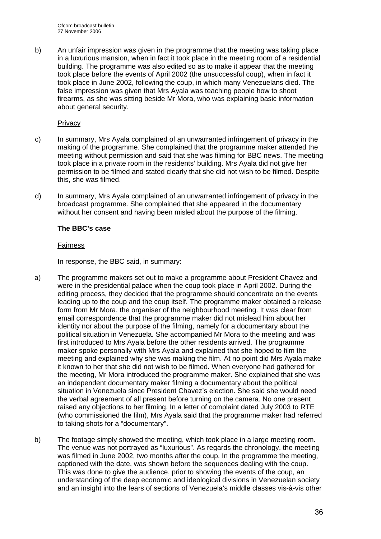Ofcom broadcast bulletin 27 November 2006

b) An unfair impression was given in the programme that the meeting was taking place in a luxurious mansion, when in fact it took place in the meeting room of a residential building. The programme was also edited so as to make it appear that the meeting took place before the events of April 2002 (the unsuccessful coup), when in fact it took place in June 2002, following the coup, in which many Venezuelans died. The false impression was given that Mrs Ayala was teaching people how to shoot firearms, as she was sitting beside Mr Mora, who was explaining basic information about general security.

#### Privacy

- c) In summary, Mrs Ayala complained of an unwarranted infringement of privacy in the making of the programme. She complained that the programme maker attended the meeting without permission and said that she was filming for BBC news. The meeting took place in a private room in the residents' building. Mrs Ayala did not give her permission to be filmed and stated clearly that she did not wish to be filmed. Despite this, she was filmed.
- d) In summary, Mrs Ayala complained of an unwarranted infringement of privacy in the broadcast programme. She complained that she appeared in the documentary without her consent and having been misled about the purpose of the filming.

## **The BBC's case**

#### Fairness

In response, the BBC said, in summary:

- a) The programme makers set out to make a programme about President Chavez and were in the presidential palace when the coup took place in April 2002. During the editing process, they decided that the programme should concentrate on the events leading up to the coup and the coup itself. The programme maker obtained a release form from Mr Mora, the organiser of the neighbourhood meeting. It was clear from email correspondence that the programme maker did not mislead him about her identity nor about the purpose of the filming, namely for a documentary about the political situation in Venezuela. She accompanied Mr Mora to the meeting and was first introduced to Mrs Ayala before the other residents arrived. The programme maker spoke personally with Mrs Ayala and explained that she hoped to film the meeting and explained why she was making the film. At no point did Mrs Ayala make it known to her that she did not wish to be filmed. When everyone had gathered for the meeting, Mr Mora introduced the programme maker. She explained that she was an independent documentary maker filming a documentary about the political situation in Venezuela since President Chavez's election. She said she would need the verbal agreement of all present before turning on the camera. No one present raised any objections to her filming. In a letter of complaint dated July 2003 to RTE (who commissioned the film), Mrs Ayala said that the programme maker had referred to taking shots for a "documentary".
- b) The footage simply showed the meeting, which took place in a large meeting room. The venue was not portrayed as "luxurious". As regards the chronology, the meeting was filmed in June 2002, two months after the coup. In the programme the meeting, captioned with the date, was shown before the sequences dealing with the coup. This was done to give the audience, prior to showing the events of the coup, an understanding of the deep economic and ideological divisions in Venezuelan society and an insight into the fears of sections of Venezuela's middle classes vis-à-vis other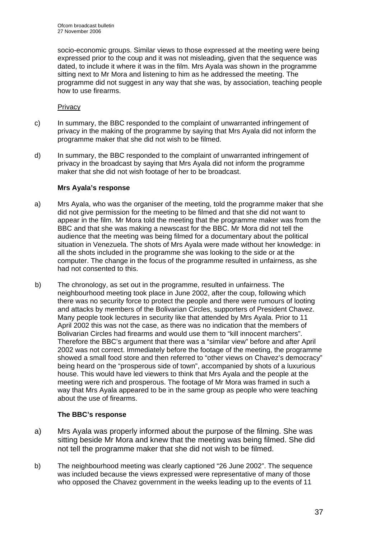socio-economic groups. Similar views to those expressed at the meeting were being expressed prior to the coup and it was not misleading, given that the sequence was dated, to include it where it was in the film. Mrs Ayala was shown in the programme sitting next to Mr Mora and listening to him as he addressed the meeting. The programme did not suggest in any way that she was, by association, teaching people how to use firearms.

## **Privacy**

- c) In summary, the BBC responded to the complaint of unwarranted infringement of privacy in the making of the programme by saying that Mrs Ayala did not inform the programme maker that she did not wish to be filmed.
- d) In summary, the BBC responded to the complaint of unwarranted infringement of privacy in the broadcast by saying that Mrs Ayala did not inform the programme maker that she did not wish footage of her to be broadcast.

## **Mrs Ayala's response**

- a) Mrs Ayala, who was the organiser of the meeting, told the programme maker that she did not give permission for the meeting to be filmed and that she did not want to appear in the film. Mr Mora told the meeting that the programme maker was from the BBC and that she was making a newscast for the BBC. Mr Mora did not tell the audience that the meeting was being filmed for a documentary about the political situation in Venezuela. The shots of Mrs Ayala were made without her knowledge: in all the shots included in the programme she was looking to the side or at the computer. The change in the focus of the programme resulted in unfairness, as she had not consented to this.
- b) The chronology, as set out in the programme, resulted in unfairness. The neighbourhood meeting took place in June 2002, after the coup, following which there was no security force to protect the people and there were rumours of looting and attacks by members of the Bolivarian Circles, supporters of President Chavez. Many people took lectures in security like that attended by Mrs Ayala. Prior to 11 April 2002 this was not the case, as there was no indication that the members of Bolivarian Circles had firearms and would use them to "kill innocent marchers". Therefore the BBC's argument that there was a "similar view" before and after April 2002 was not correct. Immediately before the footage of the meeting, the programme showed a small food store and then referred to "other views on Chavez's democracy" being heard on the "prosperous side of town", accompanied by shots of a luxurious house. This would have led viewers to think that Mrs Ayala and the people at the meeting were rich and prosperous. The footage of Mr Mora was framed in such a way that Mrs Ayala appeared to be in the same group as people who were teaching about the use of firearms.

## **The BBC's response**

- a) Mrs Ayala was properly informed about the purpose of the filming. She was sitting beside Mr Mora and knew that the meeting was being filmed. She did not tell the programme maker that she did not wish to be filmed.
- b) The neighbourhood meeting was clearly captioned "26 June 2002". The sequence was included because the views expressed were representative of many of those who opposed the Chavez government in the weeks leading up to the events of 11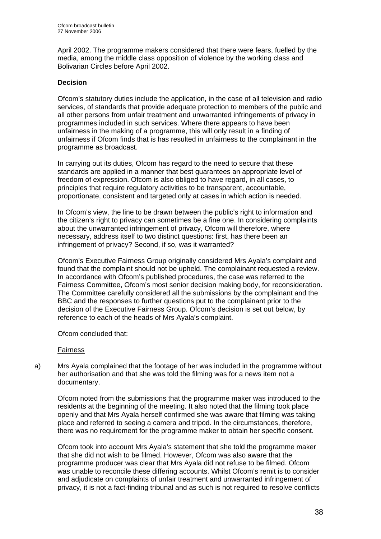April 2002. The programme makers considered that there were fears, fuelled by the media, among the middle class opposition of violence by the working class and Bolivarian Circles before April 2002.

## **Decision**

Ofcom's statutory duties include the application, in the case of all television and radio services, of standards that provide adequate protection to members of the public and all other persons from unfair treatment and unwarranted infringements of privacy in programmes included in such services. Where there appears to have been unfairness in the making of a programme, this will only result in a finding of unfairness if Ofcom finds that is has resulted in unfairness to the complainant in the programme as broadcast.

In carrying out its duties, Ofcom has regard to the need to secure that these standards are applied in a manner that best guarantees an appropriate level of freedom of expression. Ofcom is also obliged to have regard, in all cases, to principles that require regulatory activities to be transparent, accountable, proportionate, consistent and targeted only at cases in which action is needed.

In Ofcom's view, the line to be drawn between the public's right to information and the citizen's right to privacy can sometimes be a fine one. In considering complaints about the unwarranted infringement of privacy, Ofcom will therefore, where necessary, address itself to two distinct questions: first, has there been an infringement of privacy? Second, if so, was it warranted?

Ofcom's Executive Fairness Group originally considered Mrs Ayala's complaint and found that the complaint should not be upheld. The complainant requested a review. In accordance with Ofcom's published procedures, the case was referred to the Fairness Committee, Ofcom's most senior decision making body, for reconsideration. The Committee carefully considered all the submissions by the complainant and the BBC and the responses to further questions put to the complainant prior to the decision of the Executive Fairness Group. Ofcom's decision is set out below, by reference to each of the heads of Mrs Ayala's complaint.

## Ofcom concluded that:

## Fairness

a) Mrs Ayala complained that the footage of her was included in the programme without her authorisation and that she was told the filming was for a news item not a documentary.

Ofcom noted from the submissions that the programme maker was introduced to the residents at the beginning of the meeting. It also noted that the filming took place openly and that Mrs Ayala herself confirmed she was aware that filming was taking place and referred to seeing a camera and tripod. In the circumstances, therefore, there was no requirement for the programme maker to obtain her specific consent.

Ofcom took into account Mrs Ayala's statement that she told the programme maker that she did not wish to be filmed. However, Ofcom was also aware that the programme producer was clear that Mrs Ayala did not refuse to be filmed. Ofcom was unable to reconcile these differing accounts. Whilst Ofcom's remit is to consider and adjudicate on complaints of unfair treatment and unwarranted infringement of privacy, it is not a fact-finding tribunal and as such is not required to resolve conflicts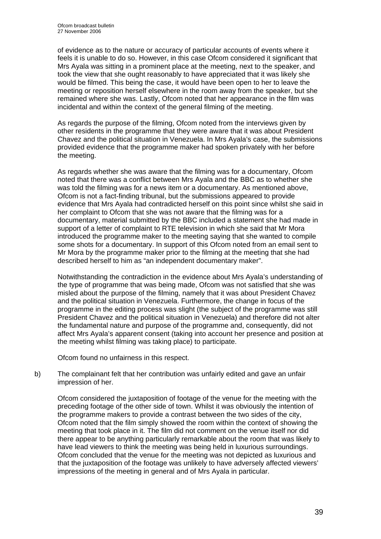of evidence as to the nature or accuracy of particular accounts of events where it feels it is unable to do so. However, in this case Ofcom considered it significant that Mrs Ayala was sitting in a prominent place at the meeting, next to the speaker, and took the view that she ought reasonably to have appreciated that it was likely she would be filmed. This being the case, it would have been open to her to leave the meeting or reposition herself elsewhere in the room away from the speaker, but she remained where she was. Lastly, Ofcom noted that her appearance in the film was incidental and within the context of the general filming of the meeting.

As regards the purpose of the filming, Ofcom noted from the interviews given by other residents in the programme that they were aware that it was about President Chavez and the political situation in Venezuela. In Mrs Ayala's case, the submissions provided evidence that the programme maker had spoken privately with her before the meeting.

As regards whether she was aware that the filming was for a documentary, Ofcom noted that there was a conflict between Mrs Ayala and the BBC as to whether she was told the filming was for a news item or a documentary. As mentioned above, Ofcom is not a fact-finding tribunal, but the submissions appeared to provide evidence that Mrs Ayala had contradicted herself on this point since whilst she said in her complaint to Ofcom that she was not aware that the filming was for a documentary, material submitted by the BBC included a statement she had made in support of a letter of complaint to RTE television in which she said that Mr Mora introduced the programme maker to the meeting saying that she wanted to compile some shots for a documentary. In support of this Ofcom noted from an email sent to Mr Mora by the programme maker prior to the filming at the meeting that she had described herself to him as "an independent documentary maker".

Notwithstanding the contradiction in the evidence about Mrs Ayala's understanding of the type of programme that was being made, Ofcom was not satisfied that she was misled about the purpose of the filming, namely that it was about President Chavez and the political situation in Venezuela. Furthermore, the change in focus of the programme in the editing process was slight (the subject of the programme was still President Chavez and the political situation in Venezuela) and therefore did not alter the fundamental nature and purpose of the programme and, consequently, did not affect Mrs Ayala's apparent consent (taking into account her presence and position at the meeting whilst filming was taking place) to participate.

Ofcom found no unfairness in this respect.

b) The complainant felt that her contribution was unfairly edited and gave an unfair impression of her.

Ofcom considered the juxtaposition of footage of the venue for the meeting with the preceding footage of the other side of town. Whilst it was obviously the intention of the programme makers to provide a contrast between the two sides of the city, Ofcom noted that the film simply showed the room within the context of showing the meeting that took place in it. The film did not comment on the venue itself nor did there appear to be anything particularly remarkable about the room that was likely to have lead viewers to think the meeting was being held in luxurious surroundings. Ofcom concluded that the venue for the meeting was not depicted as luxurious and that the juxtaposition of the footage was unlikely to have adversely affected viewers' impressions of the meeting in general and of Mrs Ayala in particular.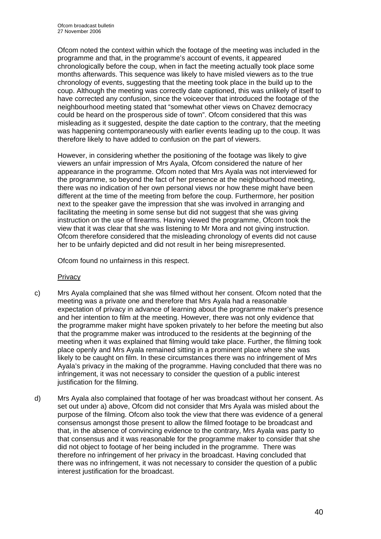Ofcom noted the context within which the footage of the meeting was included in the programme and that, in the programme's account of events, it appeared chronologically before the coup, when in fact the meeting actually took place some months afterwards. This sequence was likely to have misled viewers as to the true chronology of events, suggesting that the meeting took place in the build up to the coup. Although the meeting was correctly date captioned, this was unlikely of itself to have corrected any confusion, since the voiceover that introduced the footage of the neighbourhood meeting stated that "somewhat other views on Chavez democracy could be heard on the prosperous side of town". Ofcom considered that this was misleading as it suggested, despite the date caption to the contrary, that the meeting was happening contemporaneously with earlier events leading up to the coup. It was therefore likely to have added to confusion on the part of viewers.

However, in considering whether the positioning of the footage was likely to give viewers an unfair impression of Mrs Ayala, Ofcom considered the nature of her appearance in the programme. Ofcom noted that Mrs Ayala was not interviewed for the programme, so beyond the fact of her presence at the neighbourhood meeting, there was no indication of her own personal views nor how these might have been different at the time of the meeting from before the coup. Furthermore, her position next to the speaker gave the impression that she was involved in arranging and facilitating the meeting in some sense but did not suggest that she was giving instruction on the use of firearms. Having viewed the programme, Ofcom took the view that it was clear that she was listening to Mr Mora and not giving instruction. Ofcom therefore considered that the misleading chronology of events did not cause her to be unfairly depicted and did not result in her being misrepresented.

Ofcom found no unfairness in this respect.

## **Privacy**

- c) Mrs Ayala complained that she was filmed without her consent. Ofcom noted that the meeting was a private one and therefore that Mrs Ayala had a reasonable expectation of privacy in advance of learning about the programme maker's presence and her intention to film at the meeting. However, there was not only evidence that the programme maker might have spoken privately to her before the meeting but also that the programme maker was introduced to the residents at the beginning of the meeting when it was explained that filming would take place. Further, the filming took place openly and Mrs Ayala remained sitting in a prominent place where she was likely to be caught on film. In these circumstances there was no infringement of Mrs Ayala's privacy in the making of the programme. Having concluded that there was no infringement, it was not necessary to consider the question of a public interest justification for the filming.
- d) Mrs Ayala also complained that footage of her was broadcast without her consent. As set out under a) above, Ofcom did not consider that Mrs Ayala was misled about the purpose of the filming. Ofcom also took the view that there was evidence of a general consensus amongst those present to allow the filmed footage to be broadcast and that, in the absence of convincing evidence to the contrary, Mrs Ayala was party to that consensus and it was reasonable for the programme maker to consider that she did not object to footage of her being included in the programme. There was therefore no infringement of her privacy in the broadcast. Having concluded that there was no infringement, it was not necessary to consider the question of a public interest justification for the broadcast.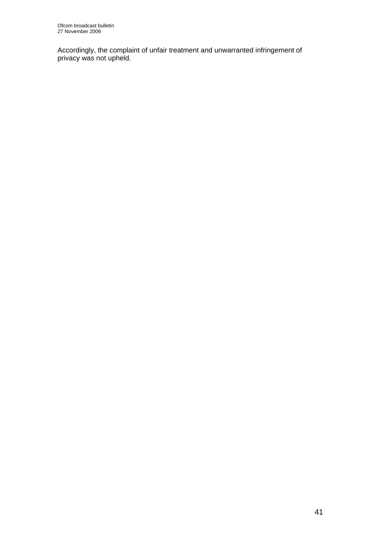Accordingly, the complaint of unfair treatment and unwarranted infringement of privacy was not upheld.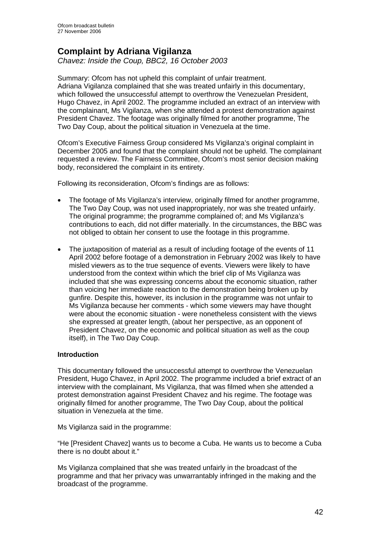## **Complaint by Adriana Vigilanza**

*Chavez: Inside the Coup, BBC2, 16 October 2003* 

Summary: Ofcom has not upheld this complaint of unfair treatment. Adriana Vigilanza complained that she was treated unfairly in this documentary, which followed the unsuccessful attempt to overthrow the Venezuelan President, Hugo Chavez, in April 2002. The programme included an extract of an interview with the complainant, Ms Vigilanza, when she attended a protest demonstration against President Chavez. The footage was originally filmed for another programme, The Two Day Coup, about the political situation in Venezuela at the time.

Ofcom's Executive Fairness Group considered Ms Vigilanza's original complaint in December 2005 and found that the complaint should not be upheld. The complainant requested a review. The Fairness Committee, Ofcom's most senior decision making body, reconsidered the complaint in its entirety.

Following its reconsideration, Ofcom's findings are as follows:

- The footage of Ms Vigilanza's interview, originally filmed for another programme, The Two Day Coup, was not used inappropriately, nor was she treated unfairly. The original programme; the programme complained of; and Ms Vigilanza's contributions to each, did not differ materially. In the circumstances, the BBC was not obliged to obtain her consent to use the footage in this programme.
- The juxtaposition of material as a result of including footage of the events of 11 April 2002 before footage of a demonstration in February 2002 was likely to have misled viewers as to the true sequence of events. Viewers were likely to have understood from the context within which the brief clip of Ms Vigilanza was included that she was expressing concerns about the economic situation, rather than voicing her immediate reaction to the demonstration being broken up by gunfire. Despite this, however, its inclusion in the programme was not unfair to Ms Vigilanza because her comments - which some viewers may have thought were about the economic situation - were nonetheless consistent with the views she expressed at greater length, (about her perspective, as an opponent of President Chavez, on the economic and political situation as well as the coup itself), in The Two Day Coup.

## **Introduction**

This documentary followed the unsuccessful attempt to overthrow the Venezuelan President, Hugo Chavez, in April 2002. The programme included a brief extract of an interview with the complainant, Ms Vigilanza, that was filmed when she attended a protest demonstration against President Chavez and his regime. The footage was originally filmed for another programme, The Two Day Coup, about the political situation in Venezuela at the time.

Ms Vigilanza said in the programme:

"He [President Chavez] wants us to become a Cuba. He wants us to become a Cuba there is no doubt about it."

Ms Vigilanza complained that she was treated unfairly in the broadcast of the programme and that her privacy was unwarrantably infringed in the making and the broadcast of the programme.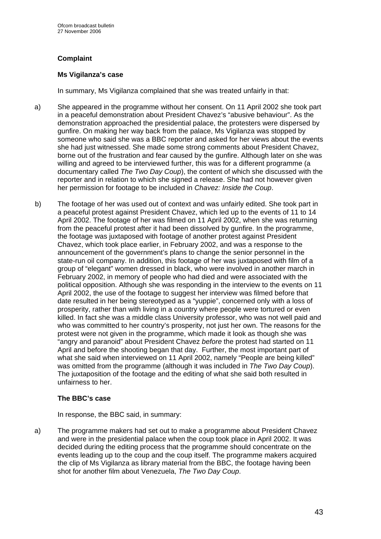## **Complaint**

## **Ms Vigilanza's case**

In summary, Ms Vigilanza complained that she was treated unfairly in that:

- a) She appeared in the programme without her consent. On 11 April 2002 she took part in a peaceful demonstration about President Chavez's "abusive behaviour". As the demonstration approached the presidential palace, the protesters were dispersed by gunfire. On making her way back from the palace, Ms Vigilanza was stopped by someone who said she was a BBC reporter and asked for her views about the events she had just witnessed. She made some strong comments about President Chavez, borne out of the frustration and fear caused by the gunfire. Although later on she was willing and agreed to be interviewed further, this was for a different programme (a documentary called *The Two Day Coup*), the content of which she discussed with the reporter and in relation to which she signed a release. She had not however given her permission for footage to be included in *Chavez: Inside the Coup*.
- b) The footage of her was used out of context and was unfairly edited. She took part in a peaceful protest against President Chavez, which led up to the events of 11 to 14 April 2002. The footage of her was filmed on 11 April 2002, when she was returning from the peaceful protest after it had been dissolved by gunfire. In the programme, the footage was juxtaposed with footage of another protest against President Chavez, which took place earlier, in February 2002, and was a response to the announcement of the government's plans to change the senior personnel in the state-run oil company. In addition, this footage of her was juxtaposed with film of a group of "elegant" women dressed in black, who were involved in another march in February 2002, in memory of people who had died and were associated with the political opposition. Although she was responding in the interview to the events on 11 April 2002, the use of the footage to suggest her interview was filmed before that date resulted in her being stereotyped as a "yuppie", concerned only with a loss of prosperity, rather than with living in a country where people were tortured or even killed. In fact she was a middle class University professor, who was not well paid and who was committed to her country's prosperity, not just her own. The reasons for the protest were not given in the programme, which made it look as though she was "angry and paranoid" about President Chavez *before* the protest had started on 11 April and before the shooting began that day. Further, the most important part of what she said when interviewed on 11 April 2002, namely "People are being killed" was omitted from the programme (although it was included in *The Two Day Coup*). The juxtaposition of the footage and the editing of what she said both resulted in unfairness to her.

## **The BBC's case**

In response, the BBC said, in summary:

a) The programme makers had set out to make a programme about President Chavez and were in the presidential palace when the coup took place in April 2002. It was decided during the editing process that the programme should concentrate on the events leading up to the coup and the coup itself. The programme makers acquired the clip of Ms Vigilanza as library material from the BBC, the footage having been shot for another film about Venezuela, *The Two Day Coup*.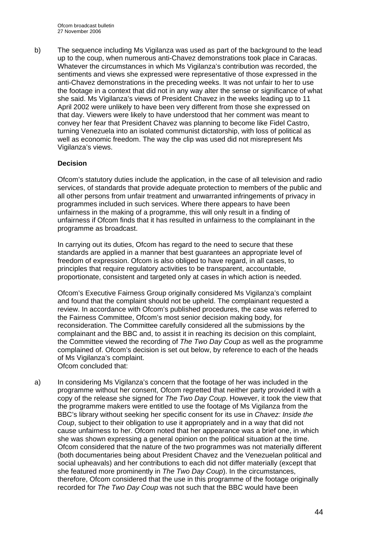b) The sequence including Ms Vigilanza was used as part of the background to the lead up to the coup, when numerous anti-Chavez demonstrations took place in Caracas. Whatever the circumstances in which Ms Vigilanza's contribution was recorded, the sentiments and views she expressed were representative of those expressed in the anti-Chavez demonstrations in the preceding weeks. It was not unfair to her to use the footage in a context that did not in any way alter the sense or significance of what she said. Ms Vigilanza's views of President Chavez in the weeks leading up to 11 April 2002 were unlikely to have been very different from those she expressed on that day. Viewers were likely to have understood that her comment was meant to convey her fear that President Chavez was planning to become like Fidel Castro, turning Venezuela into an isolated communist dictatorship, with loss of political as well as economic freedom. The way the clip was used did not misrepresent Ms Vigilanza's views.

## **Decision**

Ofcom's statutory duties include the application, in the case of all television and radio services, of standards that provide adequate protection to members of the public and all other persons from unfair treatment and unwarranted infringements of privacy in programmes included in such services. Where there appears to have been unfairness in the making of a programme, this will only result in a finding of unfairness if Ofcom finds that it has resulted in unfairness to the complainant in the programme as broadcast.

In carrying out its duties, Ofcom has regard to the need to secure that these standards are applied in a manner that best guarantees an appropriate level of freedom of expression. Ofcom is also obliged to have regard, in all cases, to principles that require regulatory activities to be transparent, accountable, proportionate, consistent and targeted only at cases in which action is needed.

Ofcom's Executive Fairness Group originally considered Ms Vigilanza's complaint and found that the complaint should not be upheld. The complainant requested a review. In accordance with Ofcom's published procedures, the case was referred to the Fairness Committee, Ofcom's most senior decision making body, for reconsideration. The Committee carefully considered all the submissions by the complainant and the BBC and, to assist it in reaching its decision on this complaint, the Committee viewed the recording of *The Two Day Coup* as well as the programme complained of. Ofcom's decision is set out below, by reference to each of the heads of Ms Vigilanza's complaint. Ofcom concluded that:

a) In considering Ms Vigilanza's concern that the footage of her was included in the programme without her consent, Ofcom regretted that neither party provided it with a copy of the release she signed for *The Two Day Coup*. However, it took the view that the programme makers were entitled to use the footage of Ms Vigilanza from the BBC's library without seeking her specific consent for its use in *Chavez: Inside the Coup*, subject to their obligation to use it appropriately and in a way that did not cause unfairness to her. Ofcom noted that her appearance was a brief one, in which she was shown expressing a general opinion on the political situation at the time. Ofcom considered that the nature of the two programmes was not materially different (both documentaries being about President Chavez and the Venezuelan political and social upheavals) and her contributions to each did not differ materially (except that she featured more prominently in *The Two Day Coup*). In the circumstances, therefore, Ofcom considered that the use in this programme of the footage originally recorded for *The Two Day Coup* was not such that the BBC would have been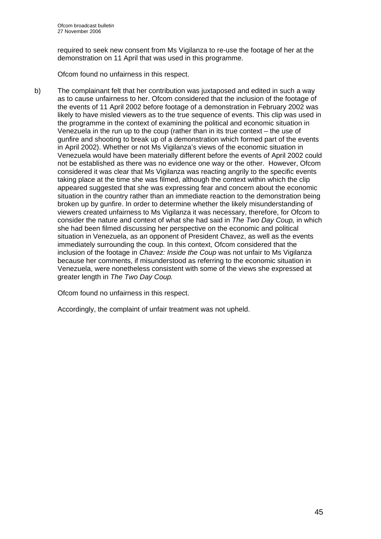required to seek new consent from Ms Vigilanza to re-use the footage of her at the demonstration on 11 April that was used in this programme.

Ofcom found no unfairness in this respect.

b) The complainant felt that her contribution was juxtaposed and edited in such a way as to cause unfairness to her. Ofcom considered that the inclusion of the footage of the events of 11 April 2002 before footage of a demonstration in February 2002 was likely to have misled viewers as to the true sequence of events. This clip was used in the programme in the context of examining the political and economic situation in Venezuela in the run up to the coup (rather than in its true context – the use of gunfire and shooting to break up of a demonstration which formed part of the events in April 2002). Whether or not Ms Vigilanza's views of the economic situation in Venezuela would have been materially different before the events of April 2002 could not be established as there was no evidence one way or the other. However, Ofcom considered it was clear that Ms Vigilanza was reacting angrily to the specific events taking place at the time she was filmed, although the context within which the clip appeared suggested that she was expressing fear and concern about the economic situation in the country rather than an immediate reaction to the demonstration being broken up by gunfire. In order to determine whether the likely misunderstanding of viewers created unfairness to Ms Vigilanza it was necessary, therefore, for Ofcom to consider the nature and context of what she had said in *The Two Day Coup,* in which she had been filmed discussing her perspective on the economic and political situation in Venezuela, as an opponent of President Chavez, as well as the events immediately surrounding the coup*.* In this context, Ofcom considered that the inclusion of the footage in *Chavez: Inside the Coup* was not unfair to Ms Vigilanza because her comments, if misunderstood as referring to the economic situation in Venezuela, were nonetheless consistent with some of the views she expressed at greater length in *The Two Day Coup.* 

Ofcom found no unfairness in this respect.

Accordingly, the complaint of unfair treatment was not upheld.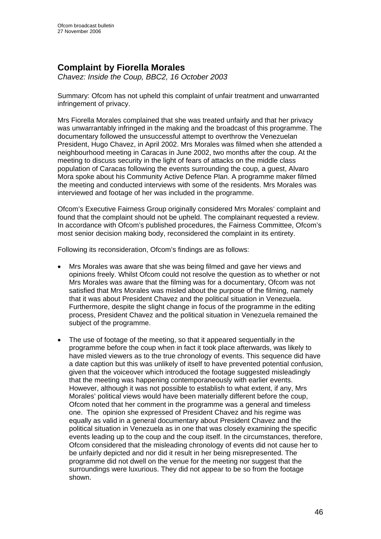## **Complaint by Fiorella Morales**

*Chavez: Inside the Coup, BBC2, 16 October 2003* 

Summary: Ofcom has not upheld this complaint of unfair treatment and unwarranted infringement of privacy.

Mrs Fiorella Morales complained that she was treated unfairly and that her privacy was unwarrantably infringed in the making and the broadcast of this programme. The documentary followed the unsuccessful attempt to overthrow the Venezuelan President, Hugo Chavez, in April 2002. Mrs Morales was filmed when she attended a neighbourhood meeting in Caracas in June 2002, two months after the coup. At the meeting to discuss security in the light of fears of attacks on the middle class population of Caracas following the events surrounding the coup, a guest, Alvaro Mora spoke about his Community Active Defence Plan. A programme maker filmed the meeting and conducted interviews with some of the residents. Mrs Morales was interviewed and footage of her was included in the programme.

Ofcom's Executive Fairness Group originally considered Mrs Morales' complaint and found that the complaint should not be upheld. The complainant requested a review. In accordance with Ofcom's published procedures, the Fairness Committee, Ofcom's most senior decision making body, reconsidered the complaint in its entirety.

Following its reconsideration, Ofcom's findings are as follows:

- Mrs Morales was aware that she was being filmed and gave her views and opinions freely. Whilst Ofcom could not resolve the question as to whether or not Mrs Morales was aware that the filming was for a documentary, Ofcom was not satisfied that Mrs Morales was misled about the purpose of the filming, namely that it was about President Chavez and the political situation in Venezuela. Furthermore, despite the slight change in focus of the programme in the editing process, President Chavez and the political situation in Venezuela remained the subject of the programme.
- The use of footage of the meeting, so that it appeared sequentially in the programme before the coup when in fact it took place afterwards, was likely to have misled viewers as to the true chronology of events. This sequence did have a date caption but this was unlikely of itself to have prevented potential confusion, given that the voiceover which introduced the footage suggested misleadingly that the meeting was happening contemporaneously with earlier events. However, although it was not possible to establish to what extent, if any, Mrs Morales' political views would have been materially different before the coup, Ofcom noted that her comment in the programme was a general and timeless one. The opinion she expressed of President Chavez and his regime was equally as valid in a general documentary about President Chavez and the political situation in Venezuela as in one that was closely examining the specific events leading up to the coup and the coup itself. In the circumstances, therefore, Ofcom considered that the misleading chronology of events did not cause her to be unfairly depicted and nor did it result in her being misrepresented. The programme did not dwell on the venue for the meeting nor suggest that the surroundings were luxurious. They did not appear to be so from the footage shown.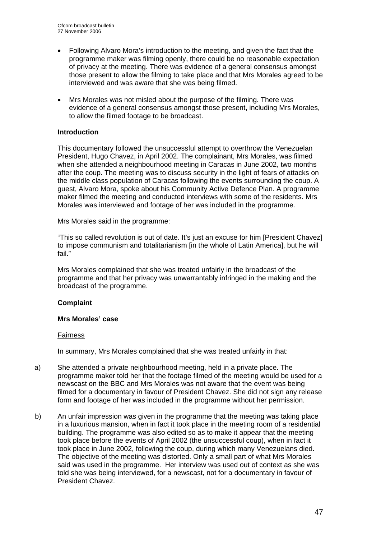- Following Alvaro Mora's introduction to the meeting, and given the fact that the programme maker was filming openly, there could be no reasonable expectation of privacy at the meeting. There was evidence of a general consensus amongst those present to allow the filming to take place and that Mrs Morales agreed to be interviewed and was aware that she was being filmed.
- Mrs Morales was not misled about the purpose of the filming. There was evidence of a general consensus amongst those present, including Mrs Morales, to allow the filmed footage to be broadcast.

## **Introduction**

This documentary followed the unsuccessful attempt to overthrow the Venezuelan President, Hugo Chavez, in April 2002. The complainant, Mrs Morales, was filmed when she attended a neighbourhood meeting in Caracas in June 2002, two months after the coup. The meeting was to discuss security in the light of fears of attacks on the middle class population of Caracas following the events surrounding the coup. A guest, Alvaro Mora, spoke about his Community Active Defence Plan. A programme maker filmed the meeting and conducted interviews with some of the residents. Mrs Morales was interviewed and footage of her was included in the programme.

Mrs Morales said in the programme:

"This so called revolution is out of date. It's just an excuse for him [President Chavez] to impose communism and totalitarianism [in the whole of Latin America], but he will fail."

Mrs Morales complained that she was treated unfairly in the broadcast of the programme and that her privacy was unwarrantably infringed in the making and the broadcast of the programme.

## **Complaint**

## **Mrs Morales' case**

## Fairness

In summary, Mrs Morales complained that she was treated unfairly in that:

- a) She attended a private neighbourhood meeting, held in a private place. The programme maker told her that the footage filmed of the meeting would be used for a newscast on the BBC and Mrs Morales was not aware that the event was being filmed for a documentary in favour of President Chavez. She did not sign any release form and footage of her was included in the programme without her permission.
- b) An unfair impression was given in the programme that the meeting was taking place in a luxurious mansion, when in fact it took place in the meeting room of a residential building. The programme was also edited so as to make it appear that the meeting took place before the events of April 2002 (the unsuccessful coup), when in fact it took place in June 2002, following the coup, during which many Venezuelans died. The objective of the meeting was distorted. Only a small part of what Mrs Morales said was used in the programme. Her interview was used out of context as she was told she was being interviewed, for a newscast, not for a documentary in favour of President Chavez.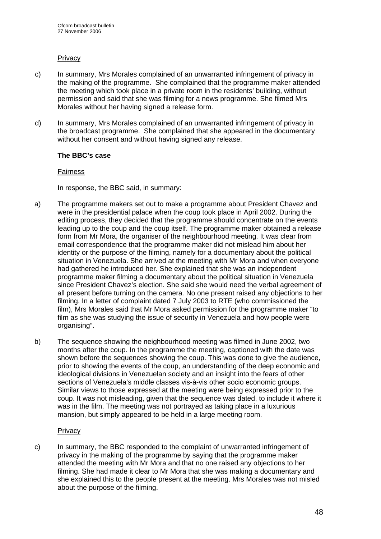## **Privacy**

- c) In summary, Mrs Morales complained of an unwarranted infringement of privacy in the making of the programme. She complained that the programme maker attended the meeting which took place in a private room in the residents' building, without permission and said that she was filming for a news programme. She filmed Mrs Morales without her having signed a release form.
- d) In summary, Mrs Morales complained of an unwarranted infringement of privacy in the broadcast programme. She complained that she appeared in the documentary without her consent and without having signed any release.

## **The BBC's case**

#### Fairness

In response, the BBC said, in summary:

- a) The programme makers set out to make a programme about President Chavez and were in the presidential palace when the coup took place in April 2002. During the editing process, they decided that the programme should concentrate on the events leading up to the coup and the coup itself. The programme maker obtained a release form from Mr Mora, the organiser of the neighbourhood meeting. It was clear from email correspondence that the programme maker did not mislead him about her identity or the purpose of the filming, namely for a documentary about the political situation in Venezuela. She arrived at the meeting with Mr Mora and when everyone had gathered he introduced her. She explained that she was an independent programme maker filming a documentary about the political situation in Venezuela since President Chavez's election. She said she would need the verbal agreement of all present before turning on the camera. No one present raised any objections to her filming. In a letter of complaint dated 7 July 2003 to RTE (who commissioned the film), Mrs Morales said that Mr Mora asked permission for the programme maker "to film as she was studying the issue of security in Venezuela and how people were organising".
- b) The sequence showing the neighbourhood meeting was filmed in June 2002, two months after the coup. In the programme the meeting, captioned with the date was shown before the sequences showing the coup. This was done to give the audience, prior to showing the events of the coup, an understanding of the deep economic and ideological divisions in Venezuelan society and an insight into the fears of other sections of Venezuela's middle classes vis-à-vis other socio economic groups. Similar views to those expressed at the meeting were being expressed prior to the coup. It was not misleading, given that the sequence was dated, to include it where it was in the film. The meeting was not portrayed as taking place in a luxurious mansion, but simply appeared to be held in a large meeting room.

## **Privacy**

c) In summary, the BBC responded to the complaint of unwarranted infringement of privacy in the making of the programme by saying that the programme maker attended the meeting with Mr Mora and that no one raised any objections to her filming. She had made it clear to Mr Mora that she was making a documentary and she explained this to the people present at the meeting. Mrs Morales was not misled about the purpose of the filming.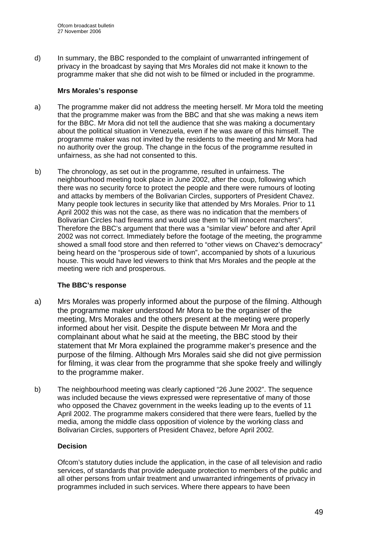d) In summary, the BBC responded to the complaint of unwarranted infringement of privacy in the broadcast by saying that Mrs Morales did not make it known to the programme maker that she did not wish to be filmed or included in the programme.

## **Mrs Morales's response**

- a) The programme maker did not address the meeting herself. Mr Mora told the meeting that the programme maker was from the BBC and that she was making a news item for the BBC. Mr Mora did not tell the audience that she was making a documentary about the political situation in Venezuela, even if he was aware of this himself. The programme maker was not invited by the residents to the meeting and Mr Mora had no authority over the group. The change in the focus of the programme resulted in unfairness, as she had not consented to this.
- b) The chronology, as set out in the programme, resulted in unfairness. The neighbourhood meeting took place in June 2002, after the coup, following which there was no security force to protect the people and there were rumours of looting and attacks by members of the Bolivarian Circles, supporters of President Chavez. Many people took lectures in security like that attended by Mrs Morales. Prior to 11 April 2002 this was not the case, as there was no indication that the members of Bolivarian Circles had firearms and would use them to "kill innocent marchers". Therefore the BBC's argument that there was a "similar view" before and after April 2002 was not correct. Immediately before the footage of the meeting, the programme showed a small food store and then referred to "other views on Chavez's democracy" being heard on the "prosperous side of town", accompanied by shots of a luxurious house. This would have led viewers to think that Mrs Morales and the people at the meeting were rich and prosperous.

## **The BBC's response**

- a) Mrs Morales was properly informed about the purpose of the filming. Although the programme maker understood Mr Mora to be the organiser of the meeting, Mrs Morales and the others present at the meeting were properly informed about her visit. Despite the dispute between Mr Mora and the complainant about what he said at the meeting, the BBC stood by their statement that Mr Mora explained the programme maker's presence and the purpose of the filming. Although Mrs Morales said she did not give permission for filming, it was clear from the programme that she spoke freely and willingly to the programme maker.
- b) The neighbourhood meeting was clearly captioned "26 June 2002". The sequence was included because the views expressed were representative of many of those who opposed the Chavez government in the weeks leading up to the events of 11 April 2002. The programme makers considered that there were fears, fuelled by the media, among the middle class opposition of violence by the working class and Bolivarian Circles, supporters of President Chavez, before April 2002.

## **Decision**

Ofcom's statutory duties include the application, in the case of all television and radio services, of standards that provide adequate protection to members of the public and all other persons from unfair treatment and unwarranted infringements of privacy in programmes included in such services. Where there appears to have been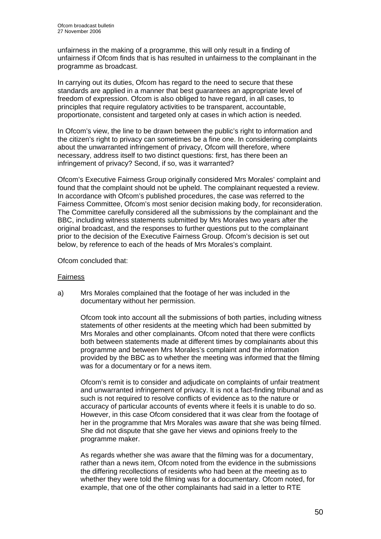unfairness in the making of a programme, this will only result in a finding of unfairness if Ofcom finds that is has resulted in unfairness to the complainant in the programme as broadcast.

In carrying out its duties, Ofcom has regard to the need to secure that these standards are applied in a manner that best guarantees an appropriate level of freedom of expression. Ofcom is also obliged to have regard, in all cases, to principles that require regulatory activities to be transparent, accountable, proportionate, consistent and targeted only at cases in which action is needed.

In Ofcom's view, the line to be drawn between the public's right to information and the citizen's right to privacy can sometimes be a fine one. In considering complaints about the unwarranted infringement of privacy, Ofcom will therefore, where necessary, address itself to two distinct questions: first, has there been an infringement of privacy? Second, if so, was it warranted?

Ofcom's Executive Fairness Group originally considered Mrs Morales' complaint and found that the complaint should not be upheld. The complainant requested a review. In accordance with Ofcom's published procedures, the case was referred to the Fairness Committee, Ofcom's most senior decision making body, for reconsideration. The Committee carefully considered all the submissions by the complainant and the BBC, including witness statements submitted by Mrs Morales two years after the original broadcast, and the responses to further questions put to the complainant prior to the decision of the Executive Fairness Group. Ofcom's decision is set out below, by reference to each of the heads of Mrs Morales's complaint.

Ofcom concluded that:

## Fairness

a) Mrs Morales complained that the footage of her was included in the documentary without her permission.

Ofcom took into account all the submissions of both parties, including witness statements of other residents at the meeting which had been submitted by Mrs Morales and other complainants. Ofcom noted that there were conflicts both between statements made at different times by complainants about this programme and between Mrs Morales's complaint and the information provided by the BBC as to whether the meeting was informed that the filming was for a documentary or for a news item.

Ofcom's remit is to consider and adjudicate on complaints of unfair treatment and unwarranted infringement of privacy. It is not a fact-finding tribunal and as such is not required to resolve conflicts of evidence as to the nature or accuracy of particular accounts of events where it feels it is unable to do so. However, in this case Ofcom considered that it was clear from the footage of her in the programme that Mrs Morales was aware that she was being filmed. She did not dispute that she gave her views and opinions freely to the programme maker.

As regards whether she was aware that the filming was for a documentary, rather than a news item, Ofcom noted from the evidence in the submissions the differing recollections of residents who had been at the meeting as to whether they were told the filming was for a documentary. Ofcom noted, for example, that one of the other complainants had said in a letter to RTE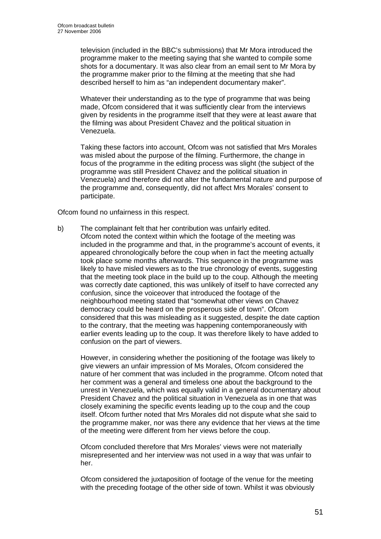television (included in the BBC's submissions) that Mr Mora introduced the programme maker to the meeting saying that she wanted to compile some shots for a documentary. It was also clear from an email sent to Mr Mora by the programme maker prior to the filming at the meeting that she had described herself to him as "an independent documentary maker".

Whatever their understanding as to the type of programme that was being made, Ofcom considered that it was sufficiently clear from the interviews given by residents in the programme itself that they were at least aware that the filming was about President Chavez and the political situation in Venezuela.

Taking these factors into account, Ofcom was not satisfied that Mrs Morales was misled about the purpose of the filming. Furthermore, the change in focus of the programme in the editing process was slight (the subject of the programme was still President Chavez and the political situation in Venezuela) and therefore did not alter the fundamental nature and purpose of the programme and, consequently, did not affect Mrs Morales' consent to participate.

Ofcom found no unfairness in this respect.

b) The complainant felt that her contribution was unfairly edited. Ofcom noted the context within which the footage of the meeting was included in the programme and that, in the programme's account of events, it appeared chronologically before the coup when in fact the meeting actually took place some months afterwards. This sequence in the programme was likely to have misled viewers as to the true chronology of events, suggesting that the meeting took place in the build up to the coup. Although the meeting was correctly date captioned, this was unlikely of itself to have corrected any confusion, since the voiceover that introduced the footage of the neighbourhood meeting stated that "somewhat other views on Chavez democracy could be heard on the prosperous side of town". Ofcom considered that this was misleading as it suggested, despite the date caption to the contrary, that the meeting was happening contemporaneously with earlier events leading up to the coup. It was therefore likely to have added to confusion on the part of viewers.

However, in considering whether the positioning of the footage was likely to give viewers an unfair impression of Ms Morales, Ofcom considered the nature of her comment that was included in the programme. Ofcom noted that her comment was a general and timeless one about the background to the unrest in Venezuela, which was equally valid in a general documentary about President Chavez and the political situation in Venezuela as in one that was closely examining the specific events leading up to the coup and the coup itself. Ofcom further noted that Mrs Morales did not dispute what she said to the programme maker, nor was there any evidence that her views at the time of the meeting were different from her views before the coup.

Ofcom concluded therefore that Mrs Morales' views were not materially misrepresented and her interview was not used in a way that was unfair to her.

Ofcom considered the juxtaposition of footage of the venue for the meeting with the preceding footage of the other side of town. Whilst it was obviously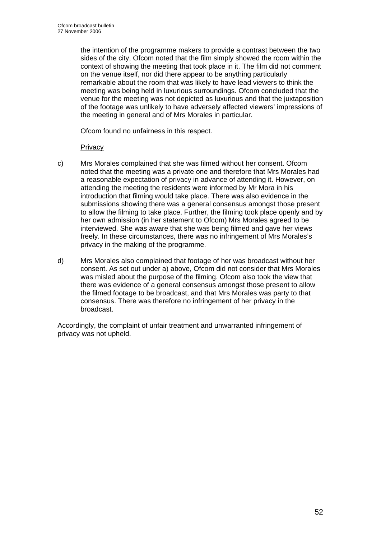the intention of the programme makers to provide a contrast between the two sides of the city, Ofcom noted that the film simply showed the room within the context of showing the meeting that took place in it. The film did not comment on the venue itself, nor did there appear to be anything particularly remarkable about the room that was likely to have lead viewers to think the meeting was being held in luxurious surroundings. Ofcom concluded that the venue for the meeting was not depicted as luxurious and that the juxtaposition of the footage was unlikely to have adversely affected viewers' impressions of the meeting in general and of Mrs Morales in particular.

Ofcom found no unfairness in this respect.

## **Privacy**

- c) Mrs Morales complained that she was filmed without her consent. Ofcom noted that the meeting was a private one and therefore that Mrs Morales had a reasonable expectation of privacy in advance of attending it. However, on attending the meeting the residents were informed by Mr Mora in his introduction that filming would take place. There was also evidence in the submissions showing there was a general consensus amongst those present to allow the filming to take place. Further, the filming took place openly and by her own admission (in her statement to Ofcom) Mrs Morales agreed to be interviewed. She was aware that she was being filmed and gave her views freely. In these circumstances, there was no infringement of Mrs Morales's privacy in the making of the programme.
- d) Mrs Morales also complained that footage of her was broadcast without her consent. As set out under a) above, Ofcom did not consider that Mrs Morales was misled about the purpose of the filming. Ofcom also took the view that there was evidence of a general consensus amongst those present to allow the filmed footage to be broadcast, and that Mrs Morales was party to that consensus. There was therefore no infringement of her privacy in the broadcast.

Accordingly, the complaint of unfair treatment and unwarranted infringement of privacy was not upheld.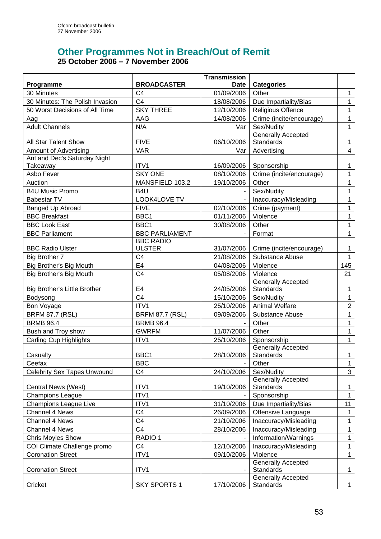## **Other Programmes Not in Breach/Out of Remit 25 October 2006 – 7 November 2006**

|                                     |                        | <b>Transmission</b>      |                                   |                   |
|-------------------------------------|------------------------|--------------------------|-----------------------------------|-------------------|
| Programme                           | <b>BROADCASTER</b>     | <b>Date</b>              | <b>Categories</b>                 |                   |
| 30 Minutes                          | C <sub>4</sub>         | 01/09/2006               | Other                             | $\mathbf{1}$      |
| 30 Minutes: The Polish Invasion     | C <sub>4</sub>         | 18/08/2006               | Due Impartiality/Bias             | $\mathbf{1}$      |
| 50 Worst Decisions of All Time      | <b>SKY THREE</b>       | 12/10/2006               | <b>Religious Offence</b>          | 1                 |
| Aag                                 | AAG                    | 14/08/2006               | Crime (incite/encourage)          | 1                 |
| <b>Adult Channels</b>               | N/A                    | Var                      | Sex/Nudity                        | $\mathbf{1}$      |
|                                     |                        |                          | <b>Generally Accepted</b>         |                   |
| All Star Talent Show                | <b>FIVE</b>            | 06/10/2006               | <b>Standards</b>                  | $\mathbf 1$       |
| <b>Amount of Advertising</b>        | <b>VAR</b>             | Var                      | Advertising                       | $\overline{4}$    |
| Ant and Dec's Saturday Night        |                        |                          |                                   |                   |
| Takeaway                            | ITV1                   | 16/09/2006               | Sponsorship                       | 1                 |
| Asbo Fever                          | <b>SKY ONE</b>         | 08/10/2006               | Crime (incite/encourage)          | $\mathbf{1}$      |
| Auction                             | MANSFIELD 103.2        | 19/10/2006               | Other                             | 1                 |
| <b>B4U Music Promo</b>              | B <sub>4</sub> U       |                          | Sex/Nudity                        | $\mathbf{1}$      |
| <b>Babestar TV</b>                  | LOOK4LOVE TV           |                          | Inaccuracy/Misleading             | $\mathbf{1}$      |
| Banged Up Abroad                    | <b>FIVE</b>            | 02/10/2006               | Crime (payment)                   | $\mathbf{1}$      |
| <b>BBC Breakfast</b>                | BBC1                   | 01/11/2006               | Violence                          | 1                 |
| <b>BBC Look East</b>                | BBC1                   | 30/08/2006               | Other                             | 1                 |
| <b>BBC Parliament</b>               | <b>BBC PARLIAMENT</b>  |                          | Format                            | $\mathbf{1}$      |
|                                     | <b>BBC RADIO</b>       |                          |                                   |                   |
| <b>BBC Radio Ulster</b>             | <b>ULSTER</b>          | 31/07/2006               | Crime (incite/encourage)          | 1                 |
| Big Brother 7                       | C <sub>4</sub>         | 21/08/2006               | Substance Abuse                   | $\mathbf{1}$      |
| Big Brother's Big Mouth             | E <sub>4</sub>         | 04/08/2006               | Violence                          | 145               |
| Big Brother's Big Mouth             | C <sub>4</sub>         | 05/08/2006               | Violence                          | 21                |
|                                     |                        |                          | <b>Generally Accepted</b>         |                   |
| <b>Big Brother's Little Brother</b> | E4<br>C <sub>4</sub>   | 24/05/2006<br>15/10/2006 | Standards<br>Sex/Nudity           | 1<br>$\mathbf{1}$ |
| Bodysong                            | ITV1                   | 25/10/2006               | <b>Animal Welfare</b>             | $\overline{2}$    |
| Bon Voyage                          |                        |                          |                                   |                   |
| <b>BRFM 87.7 (RSL)</b>              | <b>BRFM 87.7 (RSL)</b> | 09/09/2006               | Substance Abuse                   | 1                 |
| <b>BRMB 96.4</b>                    | <b>BRMB 96.4</b>       | 11/07/2006               | Other                             | $\mathbf{1}$      |
| Bush and Troy show                  | <b>GWRFM</b>           |                          | Other                             | 1                 |
| <b>Carling Cup Highlights</b>       | ITV1                   | 25/10/2006               | Sponsorship<br>Generally Accepted | $\mathbf{1}$      |
| Casualty                            | BBC1                   | 28/10/2006               | Standards                         | $\mathbf{1}$      |
| Ceefax                              | <b>BBC</b>             |                          | Other                             | 1                 |
| <b>Celebrity Sex Tapes Unwound</b>  | C <sub>4</sub>         | 24/10/2006               | Sex/Nudity                        | $\mathbf{3}$      |
|                                     |                        |                          | Generally Accepted                |                   |
| Central News (West)                 | ITV1                   | 19/10/2006               | Standards                         | $\mathbf{1}$      |
| <b>Champions League</b>             | ITV1                   |                          | Sponsorship                       | $\mathbf{1}$      |
| <b>Champions League Live</b>        | ITV1                   | 31/10/2006               | Due Impartiality/Bias             | 11                |
| Channel 4 News                      | C <sub>4</sub>         | 26/09/2006               | Offensive Language                | $\mathbf 1$       |
| Channel 4 News                      | C <sub>4</sub>         | 21/10/2006               | Inaccuracy/Misleading             | 1                 |
| Channel 4 News                      | C <sub>4</sub>         | 28/10/2006               | Inaccuracy/Misleading             | 1                 |
| <b>Chris Moyles Show</b>            | RADIO <sub>1</sub>     |                          | Information/Warnings              | $\mathbf{1}$      |
| COI Climate Challenge promo         | C <sub>4</sub>         | 12/10/2006               | Inaccuracy/Misleading             | $\mathbf{1}$      |
| <b>Coronation Street</b>            | ITV1                   | 09/10/2006               | Violence                          | $\mathbf{1}$      |
|                                     |                        |                          | <b>Generally Accepted</b>         |                   |
| <b>Coronation Street</b>            | ITV1                   |                          | Standards                         | $\mathbf{1}$      |
| Cricket                             | <b>SKY SPORTS 1</b>    | 17/10/2006               | Generally Accepted<br>Standards   | $\mathbf{1}$      |
|                                     |                        |                          |                                   |                   |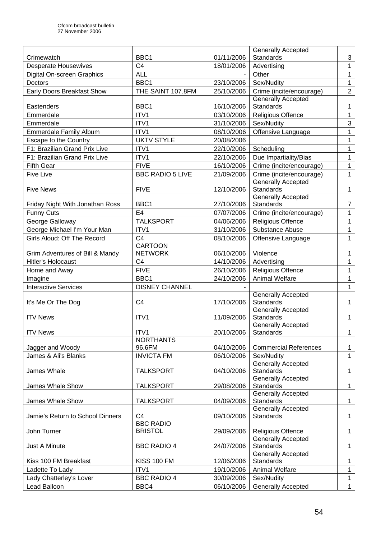|                                                      |                           |            | <b>Generally Accepted</b>                     |                |
|------------------------------------------------------|---------------------------|------------|-----------------------------------------------|----------------|
| Crimewatch                                           | BBC <sub>1</sub>          | 01/11/2006 | <b>Standards</b>                              | 3              |
| <b>Desperate Housewives</b>                          | C <sub>4</sub>            | 18/01/2006 | Advertising                                   | 1              |
| Digital On-screen Graphics                           | <b>ALL</b>                |            | Other                                         | $\mathbf{1}$   |
| Doctors                                              | BBC1                      | 23/10/2006 | Sex/Nudity                                    | $\mathbf{1}$   |
| Early Doors Breakfast Show                           | THE SAINT 107.8FM         | 25/10/2006 | Crime (incite/encourage)                      | $\overline{2}$ |
|                                                      |                           |            | <b>Generally Accepted</b>                     |                |
| Eastenders                                           | BBC1                      | 16/10/2006 | Standards                                     | 1              |
| Emmerdale                                            | ITV1                      | 03/10/2006 | Religious Offence                             | 1              |
| Emmerdale                                            | ITV1                      | 31/10/2006 | Sex/Nudity                                    | $\mathfrak{S}$ |
| <b>Emmerdale Family Album</b>                        | ITV1                      | 08/10/2006 | Offensive Language                            | $\mathbf 1$    |
| Escape to the Country                                | <b>UKTV STYLE</b>         | 20/08/2006 |                                               | 1              |
| F1: Brazilian Grand Prix Live                        | ITV1                      | 22/10/2006 | Scheduling                                    | 1              |
| F1: Brazilian Grand Prix Live                        | ITV1                      | 22/10/2006 | Due Impartiality/Bias                         | 1              |
| <b>Fifth Gear</b>                                    | <b>FIVE</b>               | 16/10/2006 | Crime (incite/encourage)                      | $\mathbf 1$    |
| <b>Five Live</b>                                     | <b>BBC RADIO 5 LIVE</b>   | 21/09/2006 | Crime (incite/encourage)                      | $\mathbf{1}$   |
|                                                      |                           |            | <b>Generally Accepted</b>                     |                |
| <b>Five News</b>                                     | <b>FIVE</b>               | 12/10/2006 | <b>Standards</b>                              | $\mathbf 1$    |
|                                                      | BBC1                      | 27/10/2006 | <b>Generally Accepted</b><br><b>Standards</b> | $\overline{7}$ |
| Friday Night With Jonathan Ross<br><b>Funny Cuts</b> | E4                        | 07/07/2006 | Crime (incite/encourage)                      | $\mathbf{1}$   |
| George Galloway                                      | <b>TALKSPORT</b>          | 04/06/2006 | <b>Religious Offence</b>                      | 1              |
|                                                      | ITV1                      |            |                                               |                |
| George Michael I'm Your Man                          |                           | 31/10/2006 | Substance Abuse                               | 1              |
| Girls Aloud: Off The Record                          | C <sub>4</sub><br>CARTOON | 08/10/2006 | Offensive Language                            | 1              |
| Grim Adventures of Bill & Mandy                      | <b>NETWORK</b>            | 06/10/2006 | Violence                                      | 1              |
| Hitler's Holocaust                                   | C <sub>4</sub>            | 14/10/2006 | Advertising                                   | 1              |
| Home and Away                                        | <b>FIVE</b>               | 26/10/2006 | <b>Religious Offence</b>                      | $\mathbf 1$    |
| Imagine                                              | BBC1                      | 24/10/2006 | <b>Animal Welfare</b>                         | 1              |
| <b>Interactive Services</b>                          | <b>DISNEY CHANNEL</b>     |            |                                               | 1              |
|                                                      |                           |            | <b>Generally Accepted</b>                     |                |
| It's Me Or The Dog                                   | C <sub>4</sub>            | 17/10/2006 | <b>Standards</b>                              | 1              |
|                                                      |                           |            | <b>Generally Accepted</b>                     |                |
| <b>ITV News</b>                                      | ITV1                      | 11/09/2006 | <b>Standards</b>                              | $\mathbf 1$    |
|                                                      |                           |            | <b>Generally Accepted</b>                     |                |
| <b>ITV News</b>                                      | ITV1                      | 20/10/2006 | Standards                                     | $\mathbf{1}$   |
|                                                      | <b>NORTHANTS</b>          |            |                                               |                |
| Jagger and Woody                                     | 96.6FM                    | 04/10/2006 | <b>Commercial References</b>                  | $\mathbf 1$    |
| James & Ali's Blanks                                 | <b>INVICTA FM</b>         | 06/10/2006 | Sex/Nudity                                    | $\mathbf{1}$   |
| James Whale                                          | <b>TALKSPORT</b>          | 04/10/2006 | <b>Generally Accepted</b><br><b>Standards</b> | $\mathbf{1}$   |
|                                                      |                           |            | <b>Generally Accepted</b>                     |                |
| James Whale Show                                     | <b>TALKSPORT</b>          | 29/08/2006 | Standards                                     | $\mathbf{1}$   |
|                                                      |                           |            | <b>Generally Accepted</b>                     |                |
| James Whale Show                                     | <b>TALKSPORT</b>          | 04/09/2006 | <b>Standards</b>                              | $\mathbf 1$    |
|                                                      |                           |            | <b>Generally Accepted</b>                     |                |
| Jamie's Return to School Dinners                     | C <sub>4</sub>            | 09/10/2006 | Standards                                     | $\mathbf{1}$   |
|                                                      | <b>BBC RADIO</b>          |            |                                               |                |
| John Turner                                          | <b>BRISTOL</b>            | 29/09/2006 | <b>Religious Offence</b>                      | $\mathbf{1}$   |
|                                                      |                           |            | <b>Generally Accepted</b>                     |                |
| Just A Minute                                        | <b>BBC RADIO 4</b>        | 24/07/2006 | <b>Standards</b><br><b>Generally Accepted</b> | $\mathbf{1}$   |
| Kiss 100 FM Breakfast                                | <b>KISS 100 FM</b>        | 12/06/2006 | Standards                                     | $\mathbf 1$    |
| Ladette To Lady                                      | ITV1                      | 19/10/2006 | Animal Welfare                                | $\mathbf{1}$   |
| Lady Chatterley's Lover                              | <b>BBC RADIO 4</b>        | 30/09/2006 | Sex/Nudity                                    | $\mathbf{1}$   |
| Lead Balloon                                         | BBC4                      | 06/10/2006 | <b>Generally Accepted</b>                     | $\mathbf 1$    |
|                                                      |                           |            |                                               |                |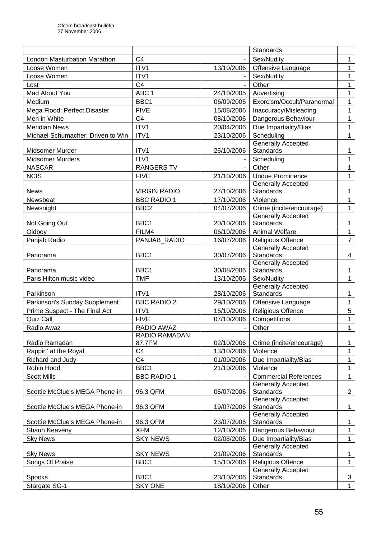| C <sub>4</sub><br>London Masturbation Marathon<br>Sex/Nudity                                       | $\mathbf{1}$   |
|----------------------------------------------------------------------------------------------------|----------------|
|                                                                                                    |                |
| ITV1<br>Loose Women<br>13/10/2006<br>Offensive Language                                            | $\mathbf{1}$   |
| ITV1<br>Loose Women<br>Sex/Nudity                                                                  | 1              |
| C <sub>4</sub><br>Other<br>Lost                                                                    | $\mathbf 1$    |
| Mad About You<br>ABC <sub>1</sub><br>24/10/2005<br>Advertising                                     | 1              |
| Exorcism/Occult/Paranormal<br>Medium<br>BBC1<br>06/09/2005                                         | 1              |
| <b>FIVE</b><br>Mega Flood: Perfect Disaster<br>15/08/2006<br>Inaccuracy/Misleading                 | 1              |
| C <sub>4</sub><br>Men in White<br>Dangerous Behaviour<br>08/10/2006                                | 1              |
| ITV1<br>Due Impartiality/Bias<br><b>Meridian News</b><br>20/04/2006                                | $\mathbf{1}$   |
| Michael Schumacher: Driven to Win<br>ITV1<br>Scheduling<br>23/10/2006                              | 1              |
| <b>Generally Accepted</b>                                                                          |                |
| <b>Standards</b><br>ITV1<br>26/10/2006<br>Midsomer Murder                                          | 1              |
| ITV1<br><b>Midsomer Murders</b><br>Scheduling                                                      | $\mathbf 1$    |
| <b>RANGERS TV</b><br>Other<br><b>NASCAR</b>                                                        | 1              |
| <b>NCIS</b><br><b>FIVE</b><br><b>Undue Prominence</b><br>21/10/2006                                | $\mathbf{1}$   |
| <b>Generally Accepted</b>                                                                          |                |
| <b>VIRGIN RADIO</b><br>27/10/2006<br>Standards<br><b>News</b>                                      | $\mathbf{1}$   |
| <b>BBC RADIO 1</b><br>Newsbeat<br>17/10/2006<br>Violence                                           | $\mathbf{1}$   |
| BBC <sub>2</sub><br>Crime (incite/encourage)<br>Newsnight<br>04/07/2006                            | $\mathbf 1$    |
| <b>Generally Accepted</b>                                                                          |                |
| Standards<br>BBC1<br>20/10/2006<br>Not Going Out                                                   | $\mathbf 1$    |
| FILM4<br><b>Animal Welfare</b><br>Oldboy<br>06/10/2006                                             | 1              |
| <b>Religious Offence</b><br>Panjab Radio<br>PANJAB_RADIO<br>16/07/2006                             | $\overline{7}$ |
| <b>Generally Accepted</b>                                                                          |                |
| BBC1<br>30/07/2006<br>Standards<br>Panorama                                                        | 4              |
| <b>Generally Accepted</b>                                                                          |                |
| BBC1<br>30/08/2006<br>Standards<br>Panorama                                                        | $\mathbf{1}$   |
| Paris Hilton music video<br><b>TMF</b><br>Sex/Nudity<br>13/10/2006                                 | $\mathbf{1}$   |
| <b>Generally Accepted</b>                                                                          |                |
| ITV1<br>Standards<br>Parkinson<br>28/10/2006                                                       | $\mathbf{1}$   |
| <b>BBC RADIO 2</b><br>Offensive Language<br>Parkinson's Sunday Supplement<br>29/10/2006            | $\mathbf{1}$   |
| ITV1<br><b>Religious Offence</b><br>Prime Suspect - The Final Act<br>15/10/2006                    | 5              |
| <b>Quiz Call</b><br><b>FIVE</b><br>07/10/2006<br>Competitions                                      | 1              |
| <b>RADIO AWAZ</b><br>Radio Awaz<br>Other                                                           | 1              |
| RADIO RAMADAN                                                                                      |                |
| Radio Ramadan<br>87.7FM<br>02/10/2006<br>Crime (incite/encourage)                                  | $\mathbf{1}$   |
| C <sub>4</sub><br>13/10/2006<br>Rappin' at the Royal<br>Violence                                   | $\mathbf{1}$   |
| C <sub>4</sub><br>01/09/2006<br>Due Impartiality/Bias<br>Richard and Judy                          | $\mathbf{1}$   |
| Robin Hood<br>BBC1<br>Violence<br>21/10/2006                                                       | $\mathbf{1}$   |
| <b>Scott Mills</b><br><b>BBC RADIO 1</b><br><b>Commercial References</b>                           | $\mathbf 1$    |
| <b>Generally Accepted</b>                                                                          |                |
| Standards<br>96.3 QFM<br>05/07/2006<br>Scottie McClue's MEGA Phone-in                              | $\overline{a}$ |
| <b>Generally Accepted</b>                                                                          |                |
| Standards<br>96.3 QFM<br>19/07/2006<br>Scottie McClue's MEGA Phone-in<br><b>Generally Accepted</b> | $\mathbf{1}$   |
| 96.3 QFM<br>Standards<br>Scottie McClue's MEGA Phone-in<br>23/07/2006                              | $\mathbf{1}$   |
| <b>XFM</b><br>Dangerous Behaviour<br>Shaun Keaveny<br>12/10/2006                                   | $\mathbf 1$    |
| <b>SKY NEWS</b><br>Due Impartiality/Bias                                                           | $\mathbf{1}$   |
| <b>Sky News</b><br>02/08/2006<br><b>Generally Accepted</b>                                         |                |
| <b>Standards</b><br><b>SKY NEWS</b><br>21/09/2006<br><b>Sky News</b>                               | $\mathbf{1}$   |
| Songs Of Praise<br>BBC1<br><b>Religious Offence</b><br>15/10/2006                                  | $\mathbf{1}$   |
| Generally Accepted                                                                                 |                |
| <b>Standards</b><br>Spooks<br>BBC1<br>23/10/2006                                                   | 3              |
| <b>SKY ONE</b><br>Stargate SG-1<br>Other<br>18/10/2006                                             | $\mathbf 1$    |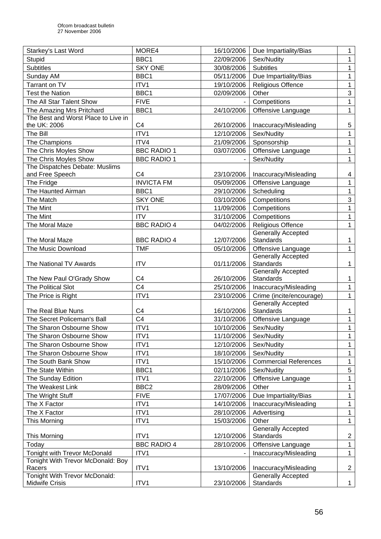| Starkey's Last Word                 | MORE4              | 16/10/2006 | Due Impartiality/Bias                  | 1              |
|-------------------------------------|--------------------|------------|----------------------------------------|----------------|
| Stupid                              | BBC1               | 22/09/2006 | Sex/Nudity                             | $\mathbf 1$    |
| <b>Subtitles</b>                    | <b>SKY ONE</b>     | 30/08/2006 | <b>Subtitles</b>                       | $\mathbf{1}$   |
| Sunday AM                           | BBC1               | 05/11/2006 | Due Impartiality/Bias                  | $\mathbf{1}$   |
| Tarrant on TV                       | ITV1               | 19/10/2006 | <b>Religious Offence</b>               | $\mathbf{1}$   |
| <b>Test the Nation</b>              | BBC1               | 02/09/2006 | Other                                  | 3              |
| The All Star Talent Show            | <b>FIVE</b>        |            | Competitions                           | $\mathbf{1}$   |
| The Amazing Mrs Pritchard           | BBC1               | 24/10/2006 | Offensive Language                     | $\mathbf{1}$   |
| The Best and Worst Place to Live in |                    |            |                                        |                |
| the UK: 2006                        | C <sub>4</sub>     | 26/10/2006 | Inaccuracy/Misleading                  | 5              |
| The Bill                            | ITV1               | 12/10/2006 | Sex/Nudity                             | 1              |
| The Champions                       | ITV4               | 21/09/2006 | Sponsorship                            | $\mathbf{1}$   |
| The Chris Moyles Show               | <b>BBC RADIO 1</b> | 03/07/2006 | Offensive Language                     | $\mathbf 1$    |
| The Chris Moyles Show               | <b>BBC RADIO 1</b> |            | Sex/Nudity                             | $\mathbf{1}$   |
| The Dispatches Debate: Muslims      |                    |            |                                        |                |
| and Free Speech                     | C <sub>4</sub>     | 23/10/2006 | Inaccuracy/Misleading                  | 4              |
| The Fridge                          | <b>INVICTA FM</b>  | 05/09/2006 | Offensive Language                     | $\mathbf{1}$   |
| The Haunted Airman                  | BBC1               | 29/10/2006 | Scheduling                             | $\mathbf 1$    |
| The Match                           | <b>SKY ONE</b>     | 03/10/2006 | Competitions                           | $\mathbf{3}$   |
| The Mint                            | ITV1               | 11/09/2006 | Competitions                           | $\mathbf 1$    |
| The Mint                            | <b>ITV</b>         | 31/10/2006 | Competitions                           | $\mathbf 1$    |
| The Moral Maze                      | <b>BBC RADIO 4</b> | 04/02/2006 | <b>Religious Offence</b>               | $\mathbf{1}$   |
|                                     |                    |            | <b>Generally Accepted</b>              |                |
| The Moral Maze                      | <b>BBC RADIO 4</b> | 12/07/2006 | Standards                              | $\mathbf{1}$   |
| The Music Download                  | <b>TMF</b>         | 05/10/2006 | Offensive Language                     | $\mathbf{1}$   |
|                                     |                    |            | <b>Generally Accepted</b>              |                |
| The National TV Awards              | <b>ITV</b>         | 01/11/2006 | Standards<br><b>Generally Accepted</b> | $\mathbf 1$    |
| The New Paul O'Grady Show           | C <sub>4</sub>     | 26/10/2006 | Standards                              | $\mathbf{1}$   |
| The Political Slot                  | C <sub>4</sub>     | 25/10/2006 | Inaccuracy/Misleading                  | $\mathbf{1}$   |
| The Price is Right                  | ITV1               | 23/10/2006 | Crime (incite/encourage)               | $\mathbf{1}$   |
|                                     |                    |            | <b>Generally Accepted</b>              |                |
| The Real Blue Nuns                  | C <sub>4</sub>     | 16/10/2006 | Standards                              | $\mathbf{1}$   |
| The Secret Policeman's Ball         | C <sub>4</sub>     | 31/10/2006 | Offensive Language                     | $\mathbf{1}$   |
| The Sharon Osbourne Show            | ITV1               | 10/10/2006 | Sex/Nudity                             | $\mathbf 1$    |
| The Sharon Osbourne Show            | ITV1               | 11/10/2006 | Sex/Nudity                             | 1              |
| The Sharon Osbourne Show            | ITV1               | 12/10/2006 | Sex/Nudity                             | 1              |
| The Sharon Osbourne Show            | ITV1               | 18/10/2006 | Sex/Nudity                             | $\mathbf{1}$   |
| The South Bank Show                 | ITV1               | 15/10/2006 | <b>Commercial References</b>           | $\mathbf 1$    |
| The State Within                    | BBC1               | 02/11/2006 | Sex/Nudity                             | $\sqrt{5}$     |
| The Sunday Edition                  | ITV1               | 22/10/2006 | Offensive Language                     | $\mathbf{1}$   |
| The Weakest Link                    | BBC <sub>2</sub>   | 28/09/2006 | Other                                  | 1              |
| The Wright Stuff                    | <b>FIVE</b>        | 17/07/2006 | Due Impartiality/Bias                  | $\mathbf{1}$   |
| The X Factor                        | ITV1               | 14/10/2006 | Inaccuracy/Misleading                  | $\mathbf 1$    |
| The X Factor                        | ITV1               | 28/10/2006 | Advertising                            | $\mathbf 1$    |
| This Morning                        | ITV1               | 15/03/2006 | Other                                  | $\mathbf{1}$   |
|                                     |                    |            | <b>Generally Accepted</b>              |                |
| This Morning                        | ITV1               | 12/10/2006 | Standards                              | $\overline{c}$ |
| Today                               | <b>BBC RADIO 4</b> | 28/10/2006 | Offensive Language                     | $\mathbf 1$    |
| Tonight with Trevor McDonald        | ITV1               |            | Inaccuracy/Misleading                  | $\mathbf{1}$   |
| Tonight With Trevor McDonald: Boy   |                    |            |                                        |                |
| Racers                              | ITV1               | 13/10/2006 | Inaccuracy/Misleading                  | $\overline{2}$ |
| Tonight With Trevor McDonald:       |                    |            | <b>Generally Accepted</b>              |                |
| Midwife Crisis                      | ITV1               | 23/10/2006 | Standards                              | $\mathbf{1}$   |